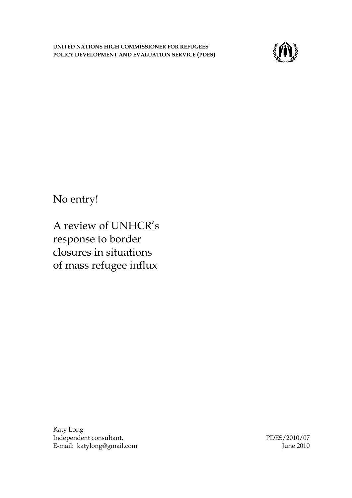

No entry!

A review of UNHCR"s response to border closures in situations of mass refugee influx

Katy Long Independent consultant, E-mail: katylong@gmail.com

PDES/2010/07 June 2010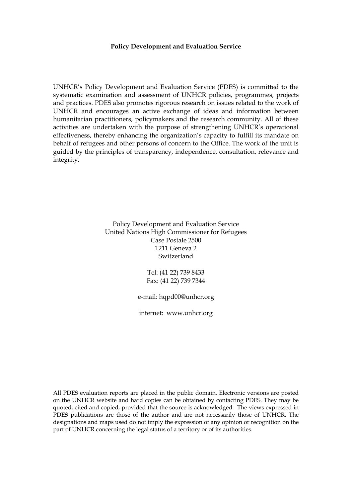#### **Policy Development and Evaluation Service**

UNHCR"s Policy Development and Evaluation Service (PDES) is committed to the systematic examination and assessment of UNHCR policies, programmes, projects and practices. PDES also promotes rigorous research on issues related to the work of UNHCR and encourages an active exchange of ideas and information between humanitarian practitioners, policymakers and the research community. All of these activities are undertaken with the purpose of strengthening UNHCR"s operational effectiveness, thereby enhancing the organization's capacity to fulfill its mandate on behalf of refugees and other persons of concern to the Office. The work of the unit is guided by the principles of transparency, independence, consultation, relevance and integrity.

> Policy Development and Evaluation Service United Nations High Commissioner for Refugees Case Postale 2500 1211 Geneva 2 Switzerland

> > Tel: (41 22) 739 8433 Fax: (41 22) 739 7344

e-mail: hqpd00@unhcr.org

internet: www.unhcr.org

All PDES evaluation reports are placed in the public domain. Electronic versions are posted on the UNHCR website and hard copies can be obtained by contacting PDES. They may be quoted, cited and copied, provided that the source is acknowledged. The views expressed in PDES publications are those of the author and are not necessarily those of UNHCR. The designations and maps used do not imply the expression of any opinion or recognition on the part of UNHCR concerning the legal status of a territory or of its authorities.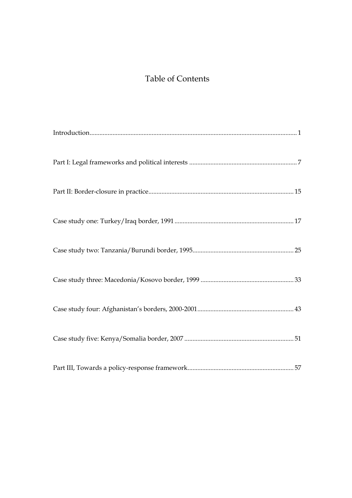# Table of Contents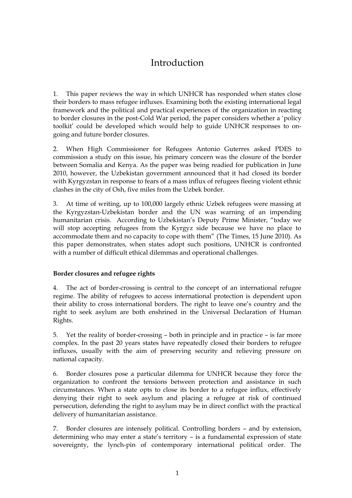## Introduction

1. This paper reviews the way in which UNHCR has responded when states close their borders to mass refugee influxes. Examining both the existing international legal framework and the political and practical experiences of the organization in reacting to border closures in the post-Cold War period, the paper considers whether a "policy toolkit" could be developed which would help to guide UNHCR responses to ongoing and future border closures.

2. When High Commissioner for Refugees Antonio Guterres asked PDES to commission a study on this issue, his primary concern was the closure of the border between Somalia and Kenya. As the paper was being readied for publication in June 2010, however, the Uzbekistan government announced that it had closed its border with Kyrgyzstan in response to fears of a mass influx of refugees fleeing violent ethnic clashes in the city of Osh, five miles from the Uzbek border.

3. At time of writing, up to 100,000 largely ethnic Uzbek refugees were massing at the Kyrgyzstan-Uzbekistan border and the UN was warning of an impending humanitarian crisis. According to Uzbekistan's Deputy Prime Minister, "today we will stop accepting refugees from the Kyrgyz side because we have no place to accommodate them and no capacity to cope with them" (The Times, 15 June 2010). As this paper demonstrates, when states adopt such positions, UNHCR is confronted with a number of difficult ethical dilemmas and operational challenges.

### **Border closures and refugee rights**

4. The act of border-crossing is central to the concept of an international refugee regime. The ability of refugees to access international protection is dependent upon their ability to cross international borders. The right to leave one"s country and the right to seek asylum are both enshrined in the Universal Declaration of Human Rights.

5. Yet the reality of border-crossing – both in principle and in practice – is far more complex. In the past 20 years states have repeatedly closed their borders to refugee influxes, usually with the aim of preserving security and relieving pressure on national capacity.

6. Border closures pose a particular dilemma for UNHCR because they force the organization to confront the tensions between protection and assistance in such circumstances. When a state opts to close its border to a refugee influx, effectively denying their right to seek asylum and placing a refugee at risk of continued persecution, defending the right to asylum may be in direct conflict with the practical delivery of humanitarian assistance.

7. Border closures are intensely political. Controlling borders – and by extension, determining who may enter a state"s territory – is a fundamental expression of state sovereignty, the lynch-pin of contemporary international political order. The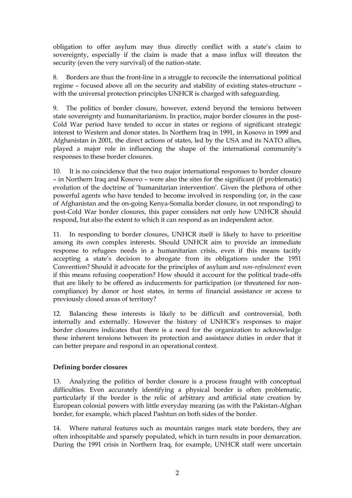obligation to offer asylum may thus directly conflict with a state"s claim to sovereignty, especially if the claim is made that a mass influx will threaten the security (even the very survival) of the nation-state.

8. Borders are thus the front-line in a struggle to reconcile the international political regime – focused above all on the security and stability of existing states-structure – with the universal protection principles UNHCR is charged with safeguarding.

9. The politics of border closure, however, extend beyond the tensions between state sovereignty and humanitarianism. In practice, major border closures in the post-Cold War period have tended to occur in states or regions of significant strategic interest to Western and donor states. In Northern Iraq in 1991, in Kosovo in 1999 and Afghanistan in 2001, the direct actions of states, led by the USA and its NATO allies, played a major role in influencing the shape of the international community"s responses to these border closures.

10. It is no coincidence that the two major international responses to border closure – in Northern Iraq and Kosovo – were also the sites for the significant (if problematic) evolution of the doctrine of "humanitarian intervention". Given the plethora of other powerful agents who have tended to become involved in responding (or, in the case of Afghanistan and the on-going Kenya-Somalia border closure, in not responding) to post-Cold War border closures, this paper considers not only how UNHCR should respond, but also the extent to which it can respond as an independent actor.

11. In responding to border closures, UNHCR itself is likely to have to prioritise among its own complex interests. Should UNHCR aim to provide an immediate response to refugees needs in a humanitarian crisis, even if this means tacitly accepting a state"s decision to abrogate from its obligations under the 1951 Convention? Should it advocate for the principles of asylum and *non-refoulement* even if this means refusing cooperation? How should it account for the political trade-offs that are likely to be offered as inducements for participation (or threatened for noncompliance) by donor or host states, in terms of financial assistance or access to previously closed areas of territory?

12. Balancing these interests is likely to be difficult and controversial, both internally and externally. However the history of UNHCR"s responses to major border closures indicates that there is a need for the organization to acknowledge these inherent tensions between its protection and assistance duties in order that it can better prepare and respond in an operational context.

## **Defining border closures**

13. Analyzing the politics of border closure is a process fraught with conceptual difficulties. Even accurately identifying a physical border is often problematic, particularly if the border is the relic of arbitrary and artificial state creation by European colonial powers with little everyday meaning (as with the Pakistan-Afghan border, for example, which placed Pashtun on both sides of the border.

14. Where natural features such as mountain ranges mark state borders, they are often inhospitable and sparsely populated, which in turn results in poor demarcation. During the 1991 crisis in Northern Iraq, for example, UNHCR staff were uncertain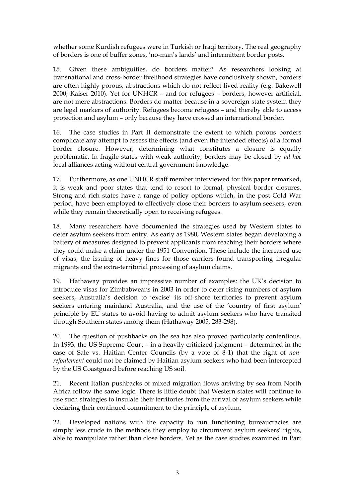whether some Kurdish refugees were in Turkish or Iraqi territory. The real geography of borders is one of buffer zones, "no-man"s lands" and intermittent border posts.

15. Given these ambiguities, do borders matter? As researchers looking at transnational and cross-border livelihood strategies have conclusively shown, borders are often highly porous, abstractions which do not reflect lived reality (e.g. Bakewell 2000; Kaiser 2010). Yet for UNHCR – and for refugees – borders, however artificial, are not mere abstractions. Borders do matter because in a sovereign state system they are legal markers of authority. Refugees become refugees – and thereby able to access protection and asylum – only because they have crossed an international border.

16. The case studies in Part II demonstrate the extent to which porous borders complicate any attempt to assess the effects (and even the intended effects) of a formal border closure. However, determining what constitutes a closure is equally problematic. In fragile states with weak authority, borders may be closed by *ad hoc* local alliances acting without central government knowledge.

17. Furthermore, as one UNHCR staff member interviewed for this paper remarked, it is weak and poor states that tend to resort to formal, physical border closures. Strong and rich states have a range of policy options which, in the post-Cold War period, have been employed to effectively close their borders to asylum seekers, even while they remain theoretically open to receiving refugees.

18. Many researchers have documented the strategies used by Western states to deter asylum seekers from entry. As early as 1980, Western states began developing a battery of measures designed to prevent applicants from reaching their borders where they could make a claim under the 1951 Convention. These include the increased use of visas, the issuing of heavy fines for those carriers found transporting irregular migrants and the extra-territorial processing of asylum claims.

19. Hathaway provides an impressive number of examples: the UK"s decision to introduce visas for Zimbabweans in 2003 in order to deter rising numbers of asylum seekers, Australia's decision to 'excise' its off-shore territories to prevent asylum seekers entering mainland Australia, and the use of the "country of first asylum" principle by EU states to avoid having to admit asylum seekers who have transited through Southern states among them (Hathaway 2005, 283-298).

20. The question of pushbacks on the sea has also proved particularly contentious. In 1993, the US Supreme Court – in a heavily criticized judgment – determined in the case of Sale vs. Haitian Center Councils (by a vote of 8-1) that the right of *nonrefoulement* could not be claimed by Haitian asylum seekers who had been intercepted by the US Coastguard before reaching US soil.

21. Recent Italian pushbacks of mixed migration flows arriving by sea from North Africa follow the same logic. There is little doubt that Western states will continue to use such strategies to insulate their territories from the arrival of asylum seekers while declaring their continued commitment to the principle of asylum.

22. Developed nations with the capacity to run functioning bureaucracies are simply less crude in the methods they employ to circumvent asylum seekers' rights, able to manipulate rather than close borders. Yet as the case studies examined in Part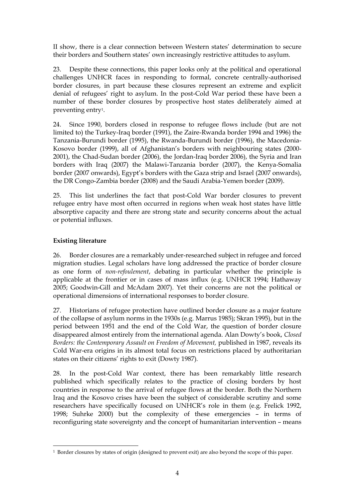II show, there is a clear connection between Western states" determination to secure their borders and Southern states" own increasingly restrictive attitudes to asylum.

23. Despite these connections, this paper looks only at the political and operational challenges UNHCR faces in responding to formal, concrete centrally-authorised border closures, in part because these closures represent an extreme and explicit denial of refugees" right to asylum. In the post-Cold War period these have been a number of these border closures by prospective host states deliberately aimed at preventing entry1.

24. Since 1990, borders closed in response to refugee flows include (but are not limited to) the Turkey-Iraq border (1991), the Zaire-Rwanda border 1994 and 1996) the Tanzania-Burundi border (1995), the Rwanda-Burundi border (1996), the Macedonia-Kosovo border (1999), all of Afghanistan's borders with neighbouring states (2000-2001), the Chad-Sudan border (2006), the Jordan-Iraq border 2006), the Syria and Iran borders with Iraq (2007) the Malawi-Tanzania border (2007), the Kenya-Somalia border (2007 onwards), Egypt's borders with the Gaza strip and Israel (2007 onwards), the DR Congo-Zambia border (2008) and the Saudi Arabia-Yemen border (2009).

25. This list underlines the fact that post-Cold War border closures to prevent refugee entry have most often occurred in regions when weak host states have little absorptive capacity and there are strong state and security concerns about the actual or potential influxes.

## **Existing literature**

 $\overline{a}$ 

26. Border closures are a remarkably under-researched subject in refugee and forced migration studies. Legal scholars have long addressed the practice of border closure as one form of *non-refoulement*, debating in particular whether the principle is applicable at the frontier or in cases of mass influx (e.g. UNHCR 1994; Hathaway 2005; Goodwin-Gill and McAdam 2007). Yet their concerns are not the political or operational dimensions of international responses to border closure.

27. Historians of refugee protection have outlined border closure as a major feature of the collapse of asylum norms in the 1930s (e.g. Marrus 1985); Skran 1995), but in the period between 1951 and the end of the Cold War, the question of border closure disappeared almost entirely from the international agenda. Alan Dowty"s book, *Closed Borders: the Contemporary Assault on Freedom of Movement,* published in 1987, reveals its Cold War-era origins in its almost total focus on restrictions placed by authoritarian states on their citizens" rights to exit (Dowty 1987)*.*

28. In the post-Cold War context, there has been remarkably little research published which specifically relates to the practice of closing borders by host countries in response to the arrival of refugee flows at the border. Both the Northern Iraq and the Kosovo crises have been the subject of considerable scrutiny and some researchers have specifically focused on UNHCR"s role in them (e.g. Frelick 1992, 1998; Suhrke 2000) but the complexity of these emergencies – in terms of reconfiguring state sovereignty and the concept of humanitarian intervention – means

<sup>1</sup> Border closures by states of origin (designed to prevent exit) are also beyond the scope of this paper.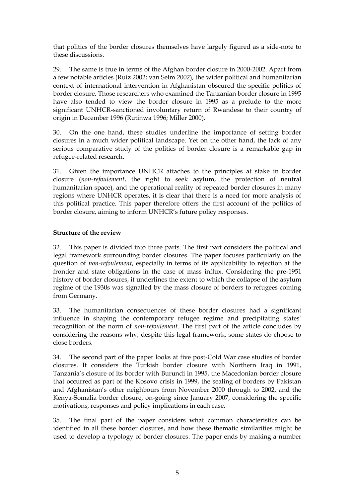that politics of the border closures themselves have largely figured as a side-note to these discussions.

29. The same is true in terms of the Afghan border closure in 2000-2002. Apart from a few notable articles (Ruiz 2002; van Selm 2002), the wider political and humanitarian context of international intervention in Afghanistan obscured the specific politics of border closure. Those researchers who examined the Tanzanian border closure in 1995 have also tended to view the border closure in 1995 as a prelude to the more significant UNHCR-sanctioned involuntary return of Rwandese to their country of origin in December 1996 (Rutinwa 1996; Miller 2000).

30. On the one hand, these studies underline the importance of setting border closures in a much wider political landscape. Yet on the other hand, the lack of any serious comparative study of the politics of border closure is a remarkable gap in refugee-related research.

31. Given the importance UNHCR attaches to the principles at stake in border closure (*non-refoulement*, the right to seek asylum, the protection of neutral humanitarian space), and the operational reality of repeated border closures in many regions where UNHCR operates, it is clear that there is a need for more analysis of this political practice. This paper therefore offers the first account of the politics of border closure, aiming to inform UNHCR"s future policy responses.

## **Structure of the review**

32. This paper is divided into three parts. The first part considers the political and legal framework surrounding border closures. The paper focuses particularly on the question of *non-refoulement*, especially in terms of its applicability to rejection at the frontier and state obligations in the case of mass influx. Considering the pre-1951 history of border closures, it underlines the extent to which the collapse of the asylum regime of the 1930s was signalled by the mass closure of borders to refugees coming from Germany.

33. The humanitarian consequences of these border closures had a significant influence in shaping the contemporary refugee regime and precipitating states' recognition of the norm of *non-refoulement*. The first part of the article concludes by considering the reasons why, despite this legal framework, some states do choose to close borders.

34. The second part of the paper looks at five post-Cold War case studies of border closures. It considers the Turkish border closure with Northern Iraq in 1991, Tanzania"s closure of its border with Burundi in 1995, the Macedonian border closure that occurred as part of the Kosovo crisis in 1999, the sealing of borders by Pakistan and Afghanistan"s other neighbours from November 2000 through to 2002, and the Kenya-Somalia border closure, on-going since January 2007, considering the specific motivations, responses and policy implications in each case.

35. The final part of the paper considers what common characteristics can be identified in all these border closures, and how these thematic similarities might be used to develop a typology of border closures. The paper ends by making a number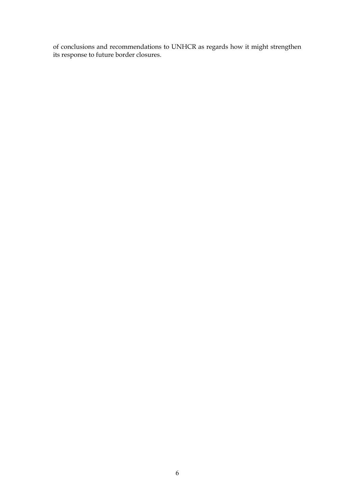of conclusions and recommendations to UNHCR as regards how it might strengthen its response to future border closures.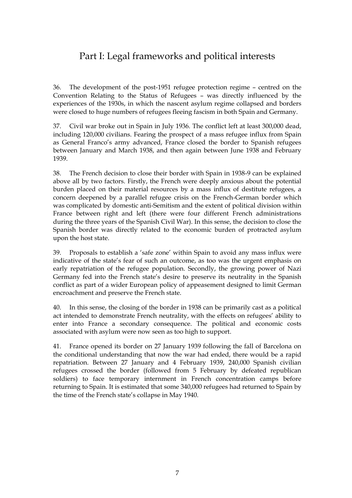# Part I: Legal frameworks and political interests

36. The development of the post-1951 refugee protection regime – centred on the Convention Relating to the Status of Refugees – was directly influenced by the experiences of the 1930s, in which the nascent asylum regime collapsed and borders were closed to huge numbers of refugees fleeing fascism in both Spain and Germany.

37. Civil war broke out in Spain in July 1936. The conflict left at least 300,000 dead, including 120,000 civilians. Fearing the prospect of a mass refugee influx from Spain as General Franco"s army advanced, France closed the border to Spanish refugees between January and March 1938, and then again between June 1938 and February 1939.

38. The French decision to close their border with Spain in 1938-9 can be explained above all by two factors. Firstly, the French were deeply anxious about the potential burden placed on their material resources by a mass influx of destitute refugees, a concern deepened by a parallel refugee crisis on the French-German border which was complicated by domestic anti-Semitism and the extent of political division within France between right and left (there were four different French administrations during the three years of the Spanish Civil War). In this sense, the decision to close the Spanish border was directly related to the economic burden of protracted asylum upon the host state.

39. Proposals to establish a "safe zone" within Spain to avoid any mass influx were indicative of the state's fear of such an outcome, as too was the urgent emphasis on early repatriation of the refugee population. Secondly, the growing power of Nazi Germany fed into the French state"s desire to preserve its neutrality in the Spanish conflict as part of a wider European policy of appeasement designed to limit German encroachment and preserve the French state.

40. In this sense, the closing of the border in 1938 can be primarily cast as a political act intended to demonstrate French neutrality, with the effects on refugees' ability to enter into France a secondary consequence. The political and economic costs associated with asylum were now seen as too high to support.

41. France opened its border on 27 January 1939 following the fall of Barcelona on the conditional understanding that now the war had ended, there would be a rapid repatriation. Between 27 January and 4 February 1939, 240,000 Spanish civilian refugees crossed the border (followed from 5 February by defeated republican soldiers) to face temporary internment in French concentration camps before returning to Spain. It is estimated that some 340,000 refugees had returned to Spain by the time of the French state's collapse in May 1940.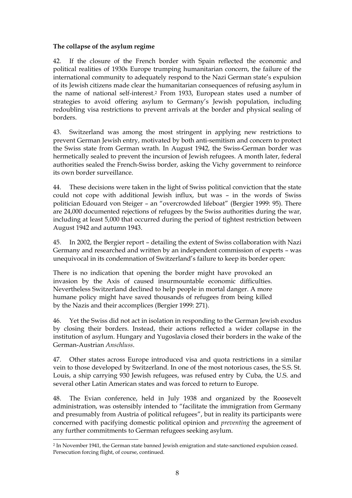### **The collapse of the asylum regime**

42. If the closure of the French border with Spain reflected the economic and political realities of 1930s Europe trumping humanitarian concern, the failure of the international community to adequately respond to the Nazi German state"s expulsion of its Jewish citizens made clear the humanitarian consequences of refusing asylum in the name of national self-interest.<sup>2</sup> From 1933, European states used a number of strategies to avoid offering asylum to Germany's Jewish population, including redoubling visa restrictions to prevent arrivals at the border and physical sealing of borders.

43. Switzerland was among the most stringent in applying new restrictions to prevent German Jewish entry, motivated by both anti-semitism and concern to protect the Swiss state from German wrath. In August 1942, the Swiss-German border was hermetically sealed to prevent the incursion of Jewish refugees. A month later, federal authorities sealed the French-Swiss border, asking the Vichy government to reinforce its own border surveillance.

44. These decisions were taken in the light of Swiss political conviction that the state could not cope with additional Jewish influx, but was – in the words of Swiss politician Edouard von Steiger – an "overcrowded lifeboat" (Bergier 1999: 95). There are 24,000 documented rejections of refugees by the Swiss authorities during the war, including at least 5,000 that occurred during the period of tightest restriction between August 1942 and autumn 1943.

45. In 2002, the Bergier report – detailing the extent of Swiss collaboration with Nazi Germany and researched and written by an independent commission of experts – was unequivocal in its condemnation of Switzerland"s failure to keep its border open:

There is no indication that opening the border might have provoked an invasion by the Axis of caused insurmountable economic difficulties. Nevertheless Switzerland declined to help people in mortal danger. A more humane policy might have saved thousands of refugees from being killed by the Nazis and their accomplices (Bergier 1999: 271).

46. Yet the Swiss did not act in isolation in responding to the German Jewish exodus by closing their borders. Instead, their actions reflected a wider collapse in the institution of asylum. Hungary and Yugoslavia closed their borders in the wake of the German-Austrian *Anschluss*.

47. Other states across Europe introduced visa and quota restrictions in a similar vein to those developed by Switzerland. In one of the most notorious cases, the S.S. St. Louis, a ship carrying 930 Jewish refugees, was refused entry by Cuba, the U.S. and several other Latin American states and was forced to return to Europe.

48. The Evian conference, held in July 1938 and organized by the Roosevelt administration, was ostensibly intended to "facilitate the immigration from Germany and presumably from Austria of political refugees", but in reality its participants were concerned with pacifying domestic political opinion and *preventing* the agreement of any further commitments to German refugees seeking asylum.

<sup>2</sup> In November 1941, the German state banned Jewish emigration and state-sanctioned expulsion ceased. Persecution forcing flight, of course, continued.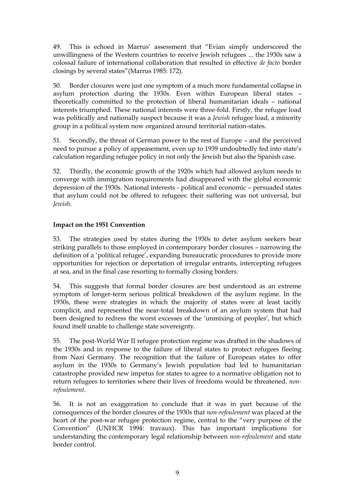49. This is echoed in Marrus" assessment that "Evian simply underscored the unwillingness of the Western countries to receive Jewish refugees ... the 1930s saw a colossal failure of international collaboration that resulted in effective *de facto* border closings by several states"(Marrus 1985: 172).

50. Border closures were just one symptom of a much more fundamental collapse in asylum protection during the 1930s. Even within European liberal states – theoretically committed to the protection of liberal humanitarian ideals – national interests triumphed. These national interests were three-fold. Firstly, the refugee load was politically and nationally suspect because it was a *Jewish* refugee load, a minority group in a political system now organized around territorial nation-states.

51. Secondly, the threat of German power to the rest of Europe – and the perceived need to pursue a policy of appeasement, even up to 1939 undoubtedly fed into state"s calculation regarding refugee policy in not only the Jewish but also the Spanish case.

52. Thirdly, the economic growth of the 1920s which had allowed asylum needs to converge with immigration requirements had disappeared with the global economic depression of the 1930s. National interests - political and economic – persuaded states that asylum could not be offered to refugees: their suffering was not universal, but *Jewish*.

## **Impact on the 1951 Convention**

53. The strategies used by states during the 1930s to deter asylum seekers bear striking parallels to those employed in contemporary border closures – narrowing the definition of a "political refugee", expanding bureaucratic procedures to provide more opportunities for rejection or deportation of irregular entrants, intercepting refugees at sea, and in the final case resorting to formally closing borders.

54. This suggests that formal border closures are best understood as an extreme symptom of longer-term serious political breakdown of the asylum regime. In the 1930s, these were strategies in which the majority of states were at least tacitly complicit, and represented the near-total breakdown of an asylum system that had been designed to redress the worst excesses of the "unmixing of peoples", but which found itself unable to challenge state sovereignty.

55. The post-World War II refugee protection regime was drafted in the shadows of the 1930s and in response to the failure of liberal states to protect refugees fleeing from Nazi Germany. The recognition that the failure of European states to offer asylum in the 1930s to Germany"s Jewish population had led to humanitarian catastrophe provided new impetus for states to agree to a normative obligation not to return refugees to territories where their lives of freedoms would be threatened, *nonrefoulement*.

56. It is not an exaggeration to conclude that it was in part because of the consequences of the border closures of the 1930s that *non-refoulement* was placed at the heart of the post-war refugee protection regime, central to the "very purpose of the Convention" (UNHCR 1994: travaux). This has important implications for understanding the contemporary legal relationship between *non-refoulement* and state border control.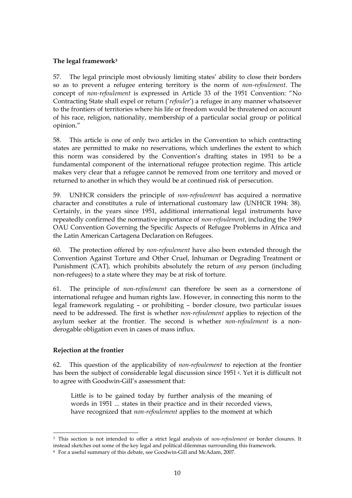## **The legal framework<sup>3</sup>**

57. The legal principle most obviously limiting states' ability to close their borders so as to prevent a refugee entering territory is the norm of *non-refoulement*. The concept of *non-refoulement* is expressed in Article 33 of the 1951 Convention: "No Contracting State shall expel or return ("*refouler*") a refugee in any manner whatsoever to the frontiers of territories where his life or freedom would be threatened on account of his race, religion, nationality, membership of a particular social group or political opinion."

58. This article is one of only two articles in the Convention to which contracting states are permitted to make no reservations, which underlines the extent to which this norm was considered by the Convention's drafting states in 1951 to be a fundamental component of the international refugee protection regime. This article makes very clear that a refugee cannot be removed from one territory and moved or returned to another in which they would be at continued risk of persecution.

59. UNHCR considers the principle of *non-refoulement* has acquired a normative character and constitutes a rule of international customary law (UNHCR 1994: 38). Certainly, in the years since 1951, additional international legal instruments have repeatedly confirmed the normative importance of *non-refoulement*, including the 1969 OAU Convention Governing the Specific Aspects of Refugee Problems in Africa and the Latin American Cartagena Declaration on Refugees.

60. The protection offered by *non-refoulement* have also been extended through the Convention Against Torture and Other Cruel, Inhuman or Degrading Treatment or Punishment (CAT)*,* which prohibits absolutely the return of *any* person (including non-refugees) to a state where they may be at risk of torture.

61. The principle of *non-refoulement* can therefore be seen as a cornerstone of international refugee and human rights law. However, in connecting this norm to the legal framework regulating – or prohibiting – border closure, two particular issues need to be addressed. The first is whether *non-refoulement* applies to rejection of the asylum seeker at the frontier. The second is whether *non-refoulement* is a nonderogable obligation even in cases of mass influx.

### **Rejection at the frontier**

62. This question of the applicability of *non-refoulement* to rejection at the frontier has been the subject of considerable legal discussion since 1951 <sup>4</sup>. Yet it is difficult not to agree with Goodwin-Gill's assessment that:

Little is to be gained today by further analysis of the meaning of words in 1951 ... states in their practice and in their recorded views, have recognized that *non-refoulement* applies to the moment at which

<sup>3</sup> This section is not intended to offer a strict legal analysis of *non-refoulement* or border closures. It instead sketches out some of the key legal and political dilemmas surrounding this framework.

<sup>4</sup> For a useful summary of this debate, see Goodwin-Gill and McAdam, 2007.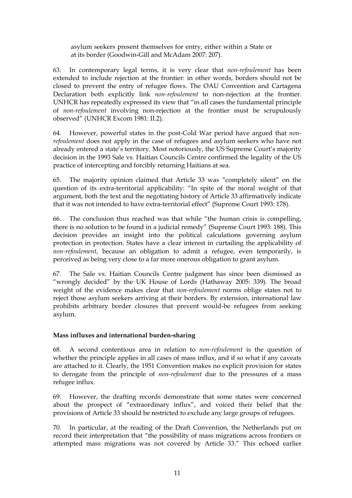asylum seekers present themselves for entry, either within a State or at its border (Goodwin-Gill and McAdam 2007: 207).

63. In contemporary legal terms, it is very clear that *non-refoulement* has been extended to include rejection at the frontier: in other words, borders should not be closed to prevent the entry of refugee flows. The OAU Convention and Cartagena Declaration both explicitly link *non-refoulement* to non-rejection at the frontier. UNHCR has repeatedly expressed its view that "in all cases the fundamental principle of *non-refoulement* involving non-rejection at the frontier must be scrupulously observed" (UNHCR Excom 1981: II.2).

64. However, powerful states in the post-Cold War period have argued that *nonrefoulement* does not apply in the case of refugees and asylum seekers who have not already entered a state's territory. Most notoriously, the US Supreme Court's majority decision in the 1993 Sale vs. Haitian Councils Centre confirmed the legality of the US practice of intercepting and forcibly returning Haitians at sea.

65. The majority opinion claimed that Article 33 was "completely silent" on the question of its extra-territorial applicability: "In spite of the moral weight of that argument, both the text and the negotiating history of Article 33 affirmatively indicate that it was not intended to have extra-territorial effect" (Supreme Court 1993: 178).

66. The conclusion thus reached was that while "the human crisis is compelling, there is no solution to be found in a judicial remedy" (Supreme Court 1993: 188). This decision provides an insight into the political calculations governing asylum protection in protection. States have a clear interest in curtailing the applicability of *non-refoulement*, because an obligation to admit a refugee, even temporarily, is perceived as being very close to a far more onerous obligation to grant asylum.

67. The Sale vs. Haitian Councils Centre judgment has since been dismissed as "wrongly decided" by the UK House of Lords (Hathaway 2005: 339). The broad weight of the evidence makes clear that *non-refoulement* norms oblige states not to reject those asylum seekers arriving at their borders. By extension, international law prohibits arbitrary border closures that prevent would-be refugees from seeking asylum.

## **Mass influxes and international burden-sharing**

68. A second contentious area in relation to *non-refoulement* is the question of whether the principle applies in all cases of mass influx, and if so what if any caveats are attached to it. Clearly, the 1951 Convention makes no explicit provision for states to derogate from the principle of *non-refoulement* due to the pressures of a mass refugee influx.

69. However, the drafting records demonstrate that some states were concerned about the prospect of "extraordinary influx", and voiced their belief that the provisions of Article 33 should be restricted to exclude any large groups of refugees.

70. In particular, at the reading of the Draft Convention, the Netherlands put on record their interpretation that "the possibility of mass migrations across frontiers or attempted mass migrations was not covered by Article 33." This echoed earlier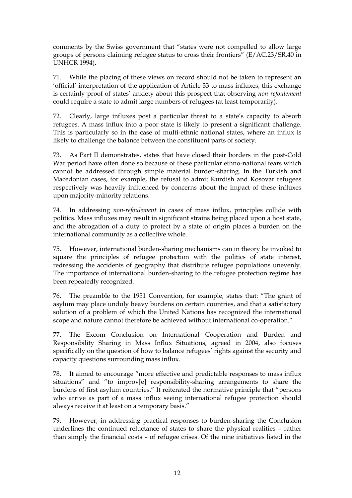comments by the Swiss government that "states were not compelled to allow large groups of persons claiming refugee status to cross their frontiers" (E/AC.23/SR.40 in UNHCR 1994).

71. While the placing of these views on record should not be taken to represent an "official" interpretation of the application of Article 33 to mass influxes, this exchange is certainly proof of states" anxiety about this prospect that observing *non-refoulement* could require a state to admit large numbers of refugees (at least temporarily).

72. Clearly, large influxes post a particular threat to a state"s capacity to absorb refugees. A mass influx into a poor state is likely to present a significant challenge. This is particularly so in the case of multi-ethnic national states, where an influx is likely to challenge the balance between the constituent parts of society.

73. As Part II demonstrates, states that have closed their borders in the post-Cold War period have often done so because of these particular ethno-national fears which cannot be addressed through simple material burden-sharing. In the Turkish and Macedonian cases, for example, the refusal to admit Kurdish and Kosovar refugees respectively was heavily influenced by concerns about the impact of these influxes upon majority-minority relations.

74. In addressing *non-refoulement* in cases of mass influx, principles collide with politics. Mass influxes may result in significant strains being placed upon a host state, and the abrogation of a duty to protect by a state of origin places a burden on the international community as a collective whole.

75. However, international burden-sharing mechanisms can in theory be invoked to square the principles of refugee protection with the politics of state interest, redressing the accidents of geography that distribute refugee populations unevenly. The importance of international burden-sharing to the refugee protection regime has been repeatedly recognized.

76. The preamble to the 1951 Convention, for example, states that: "The grant of asylum may place unduly heavy burdens on certain countries, and that a satisfactory solution of a problem of which the United Nations has recognized the international scope and nature cannot therefore be achieved without international co-operation."

77. The Excom Conclusion on International Cooperation and Burden and Responsibility Sharing in Mass Influx Situations, agreed in 2004, also focuses specifically on the question of how to balance refugees' rights against the security and capacity questions surrounding mass influx.

78. It aimed to encourage "more effective and predictable responses to mass influx situations" and "to improv[e] responsibility-sharing arrangements to share the burdens of first asylum countries." It reiterated the normative principle that "persons who arrive as part of a mass influx seeing international refugee protection should always receive it at least on a temporary basis."

79. However, in addressing practical responses to burden-sharing the Conclusion underlines the continued reluctance of states to share the physical realities – rather than simply the financial costs – of refugee crises. Of the nine initiatives listed in the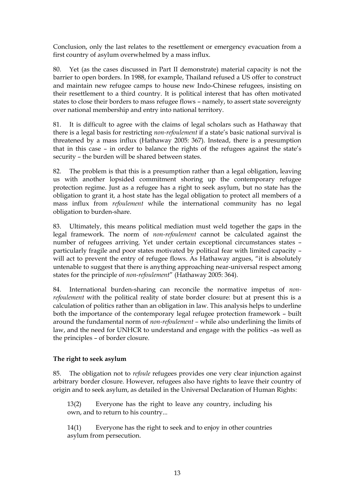Conclusion, only the last relates to the resettlement or emergency evacuation from a first country of asylum overwhelmed by a mass influx.

80. Yet (as the cases discussed in Part II demonstrate) material capacity is not the barrier to open borders. In 1988, for example, Thailand refused a US offer to construct and maintain new refugee camps to house new Indo-Chinese refugees, insisting on their resettlement to a third country. It is political interest that has often motivated states to close their borders to mass refugee flows – namely, to assert state sovereignty over national membership and entry into national territory.

81. It is difficult to agree with the claims of legal scholars such as Hathaway that there is a legal basis for restricting *non-refoulement* if a state"s basic national survival is threatened by a mass influx (Hathaway 2005: 367). Instead, there is a presumption that in this case – in order to balance the rights of the refugees against the state"s security – the burden will be shared between states.

82. The problem is that this is a presumption rather than a legal obligation, leaving us with another lopsided commitment shoring up the contemporary refugee protection regime. Just as a refugee has a right to seek asylum, but no state has the obligation to grant it, a host state has the legal obligation to protect all members of a mass influx from *refoulement* while the international community has no legal obligation to burden-share.

83. Ultimately, this means political mediation must weld together the gaps in the legal framework. The norm of *non-refoulement* cannot be calculated against the number of refugees arriving. Yet under certain exceptional circumstances states – particularly fragile and poor states motivated by political fear with limited capacity – will act to prevent the entry of refugee flows. As Hathaway argues, "it is absolutely untenable to suggest that there is anything approaching near-universal respect among states for the principle of *non-refoulement*" (Hathaway 2005: 364).

84. International burden-sharing can reconcile the normative impetus of *nonrefoulement* with the political reality of state border closure: but at present this is a calculation of politics rather than an obligation in law. This analysis helps to underline both the importance of the contemporary legal refugee protection framework – built around the fundamental norm of *non-refoulement –* while also underlining the limits of law, and the need for UNHCR to understand and engage with the politics –as well as the principles – of border closure.

### **The right to seek asylum**

85. The obligation not to *refoule* refugees provides one very clear injunction against arbitrary border closure. However, refugees also have rights to leave their country of origin and to seek asylum, as detailed in the Universal Declaration of Human Rights:

13(2) Everyone has the right to leave any country, including his own, and to return to his country...

14(1) Everyone has the right to seek and to enjoy in other countries asylum from persecution.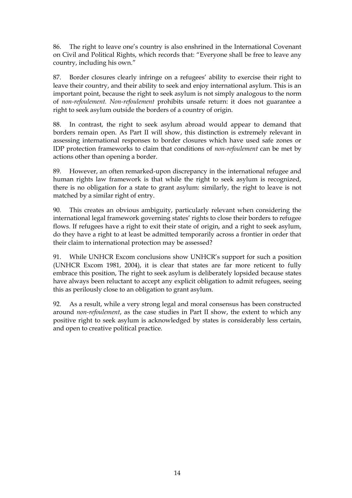86. The right to leave one"s country is also enshrined in the International Covenant on Civil and Political Rights, which records that: "Everyone shall be free to leave any country, including his own."

87. Border closures clearly infringe on a refugees" ability to exercise their right to leave their country, and their ability to seek and enjoy international asylum. This is an important point, because the right to seek asylum is not simply analogous to the norm of *non-refoulement. Non-refoulement* prohibits unsafe return: it does not guarantee a right to seek asylum outside the borders of a country of origin.

88. In contrast, the right to seek asylum abroad would appear to demand that borders remain open. As Part II will show, this distinction is extremely relevant in assessing international responses to border closures which have used safe zones or IDP protection frameworks to claim that conditions of *non-refoulement* can be met by actions other than opening a border.

89. However, an often remarked-upon discrepancy in the international refugee and human rights law framework is that while the right to seek asylum is recognized, there is no obligation for a state to grant asylum: similarly, the right to leave is not matched by a similar right of entry.

90. This creates an obvious ambiguity, particularly relevant when considering the international legal framework governing states' rights to close their borders to refugee flows. If refugees have a right to exit their state of origin, and a right to seek asylum, do they have a right to at least be admitted temporarily across a frontier in order that their claim to international protection may be assessed?

91. While UNHCR Excom conclusions show UNHCR"s support for such a position (UNHCR Excom 1981, 2004), it is clear that states are far more reticent to fully embrace this position, The right to seek asylum is deliberately lopsided because states have always been reluctant to accept any explicit obligation to admit refugees, seeing this as perilously close to an obligation to grant asylum.

92. As a result, while a very strong legal and moral consensus has been constructed around *non-refoulement*, as the case studies in Part II show, the extent to which any positive right to seek asylum is acknowledged by states is considerably less certain, and open to creative political practice.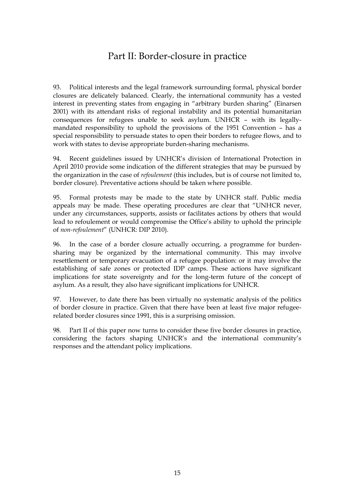# Part II: Border-closure in practice

93. Political interests and the legal framework surrounding formal, physical border closures are delicately balanced. Clearly, the international community has a vested interest in preventing states from engaging in "arbitrary burden sharing" (Einarsen 2001) with its attendant risks of regional instability and its potential humanitarian consequences for refugees unable to seek asylum. UNHCR – with its legallymandated responsibility to uphold the provisions of the 1951 Convention – has a special responsibility to persuade states to open their borders to refugee flows, and to work with states to devise appropriate burden-sharing mechanisms.

94. Recent guidelines issued by UNHCR"s division of International Protection in April 2010 provide some indication of the different strategies that may be pursued by the organization in the case of *refoulement* (this includes, but is of course not limited to, border closure). Preventative actions should be taken where possible.

95. Formal protests may be made to the state by UNHCR staff. Public media appeals may be made. These operating procedures are clear that "UNHCR never, under any circumstances, supports, assists or facilitates actions by others that would lead to refoulement or would compromise the Office"s ability to uphold the principle of *non-refoulement*" (UNHCR: DIP 2010).

96. In the case of a border closure actually occurring, a programme for burdensharing may be organized by the international community. This may involve resettlement or temporary evacuation of a refugee population: or it may involve the establishing of safe zones or protected IDP camps. These actions have significant implications for state sovereignty and for the long-term future of the concept of asylum. As a result, they also have significant implications for UNHCR.

97. However, to date there has been virtually no systematic analysis of the politics of border closure in practice. Given that there have been at least five major refugeerelated border closures since 1991, this is a surprising omission.

98. Part II of this paper now turns to consider these five border closures in practice, considering the factors shaping UNHCR"s and the international community"s responses and the attendant policy implications.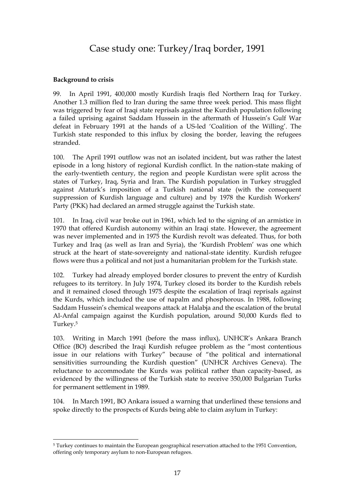## Case study one: Turkey/Iraq border, 1991

## **Background to crisis**

99. In April 1991, 400,000 mostly Kurdish Iraqis fled Northern Iraq for Turkey. Another 1.3 million fled to Iran during the same three week period. This mass flight was triggered by fear of Iraqi state reprisals against the Kurdish population following a failed uprising against Saddam Hussein in the aftermath of Hussein"s Gulf War defeat in February 1991 at the hands of a US-led "Coalition of the Willing". The Turkish state responded to this influx by closing the border, leaving the refugees stranded.

100. The April 1991 outflow was not an isolated incident, but was rather the latest episode in a long history of regional Kurdish conflict. In the nation-state making of the early-twentieth century, the region and people Kurdistan were split across the states of Turkey, Iraq, Syria and Iran. The Kurdish population in Turkey struggled against Ataturk"s imposition of a Turkish national state (with the consequent suppression of Kurdish language and culture) and by 1978 the Kurdish Workers" Party (PKK) had declared an armed struggle against the Turkish state.

101. In Iraq, civil war broke out in 1961, which led to the signing of an armistice in 1970 that offered Kurdish autonomy within an Iraqi state. However, the agreement was never implemented and in 1975 the Kurdish revolt was defeated. Thus, for both Turkey and Iraq (as well as Iran and Syria), the "Kurdish Problem" was one which struck at the heart of state-sovereignty and national-state identity. Kurdish refugee flows were thus a political and not just a humanitarian problem for the Turkish state.

102. Turkey had already employed border closures to prevent the entry of Kurdish refugees to its territory. In July 1974, Turkey closed its border to the Kurdish rebels and it remained closed through 1975 despite the escalation of Iraqi reprisals against the Kurds, which included the use of napalm and phosphorous. In 1988, following Saddam Hussein"s chemical weapons attack at Halabja and the escalation of the brutal Al-Anfal campaign against the Kurdish population, around 50,000 Kurds fled to Turkey.<sup>5</sup>

103. Writing in March 1991 (before the mass influx), UNHCR"s Ankara Branch Office (BO) described the Iraqi Kurdish refugee problem as the "most contentious issue in our relations with Turkey" because of "the political and international sensitivities surrounding the Kurdish question" (UNHCR Archives Geneva). The reluctance to accommodate the Kurds was political rather than capacity-based, as evidenced by the willingness of the Turkish state to receive 350,000 Bulgarian Turks for permanent settlement in 1989.

104. In March 1991, BO Ankara issued a warning that underlined these tensions and spoke directly to the prospects of Kurds being able to claim asylum in Turkey:

<sup>5</sup> Turkey continues to maintain the European geographical reservation attached to the 1951 Convention, offering only temporary asylum to non-European refugees.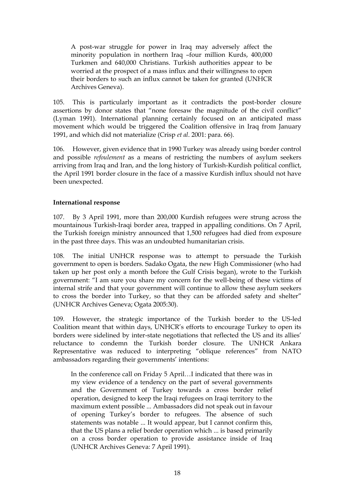A post-war struggle for power in Iraq may adversely affect the minority population in northern Iraq –four million Kurds, 400,000 Turkmen and 640,000 Christians. Turkish authorities appear to be worried at the prospect of a mass influx and their willingness to open their borders to such an influx cannot be taken for granted (UNHCR Archives Geneva).

105. This is particularly important as it contradicts the post-border closure assertions by donor states that "none foresaw the magnitude of the civil conflict" (Lyman 1991). International planning certainly focused on an anticipated mass movement which would be triggered the Coalition offensive in Iraq from January 1991, and which did not materialize (Crisp *et al*. 2001: para. 66).

106. However, given evidence that in 1990 Turkey was already using border control and possible *refoulement* as a means of restricting the numbers of asylum seekers arriving from Iraq and Iran, and the long history of Turkish-Kurdish political conflict, the April 1991 border closure in the face of a massive Kurdish influx should not have been unexpected.

## **International response**

107. By 3 April 1991, more than 200,000 Kurdish refugees were strung across the mountainous Turkish-Iraqi border area, trapped in appalling conditions. On 7 April, the Turkish foreign ministry announced that 1,500 refugees had died from exposure in the past three days. This was an undoubted humanitarian crisis.

108. The initial UNHCR response was to attempt to persuade the Turkish government to open is borders. Sadako Ogata, the new High Commissioner (who had taken up her post only a month before the Gulf Crisis began), wrote to the Turkish government: "I am sure you share my concern for the well-being of these victims of internal strife and that your government will continue to allow these asylum seekers to cross the border into Turkey, so that they can be afforded safety and shelter" (UNHCR Archives Geneva; Ogata 2005:30).

109. However, the strategic importance of the Turkish border to the US-led Coalition meant that within days, UNHCR"s efforts to encourage Turkey to open its borders were sidelined by inter-state negotiations that reflected the US and its allies" reluctance to condemn the Turkish border closure. The UNHCR Ankara Representative was reduced to interpreting "oblique references" from NATO ambassadors regarding their governments' intentions:

In the conference call on Friday 5 April…I indicated that there was in my view evidence of a tendency on the part of several governments and the Government of Turkey towards a cross border relief operation, designed to keep the Iraqi refugees on Iraqi territory to the maximum extent possible ... Ambassadors did not speak out in favour of opening Turkey"s border to refugees. The absence of such statements was notable ... It would appear, but I cannot confirm this, that the US plans a relief border operation which ... is based primarily on a cross border operation to provide assistance inside of Iraq (UNHCR Archives Geneva: 7 April 1991).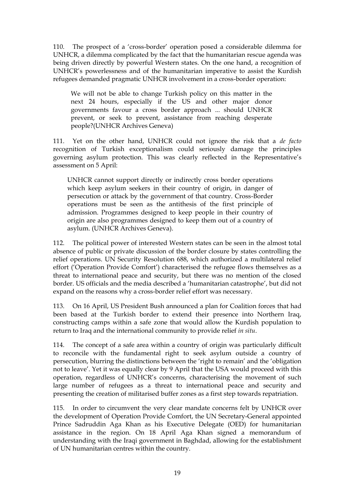110. The prospect of a "cross-border" operation posed a considerable dilemma for UNHCR, a dilemma complicated by the fact that the humanitarian rescue agenda was being driven directly by powerful Western states. On the one hand, a recognition of UNHCR"s powerlessness and of the humanitarian imperative to assist the Kurdish refugees demanded pragmatic UNHCR involvement in a cross-border operation:

We will not be able to change Turkish policy on this matter in the next 24 hours, especially if the US and other major donor governments favour a cross border approach ... should UNHCR prevent, or seek to prevent, assistance from reaching desperate people?(UNHCR Archives Geneva)

111. Yet on the other hand, UNHCR could not ignore the risk that a *de facto* recognition of Turkish exceptionalism could seriously damage the principles governing asylum protection. This was clearly reflected in the Representative"s assessment on 5 April:

UNHCR cannot support directly or indirectly cross border operations which keep asylum seekers in their country of origin, in danger of persecution or attack by the government of that country. Cross-Border operations must be seen as the antithesis of the first principle of admission. Programmes designed to keep people in their country of origin are also programmes designed to keep them out of a country of asylum. (UNHCR Archives Geneva).

112. The political power of interested Western states can be seen in the almost total absence of public or private discussion of the border closure by states controlling the relief operations. UN Security Resolution 688, which authorized a multilateral relief effort ('Operation Provide Comfort') characterised the refugee flows themselves as a threat to international peace and security, but there was no mention of the closed border. US officials and the media described a "humanitarian catastrophe", but did not expand on the reasons why a cross-border relief effort was necessary.

113. On 16 April, US President Bush announced a plan for Coalition forces that had been based at the Turkish border to extend their presence into Northern Iraq, constructing camps within a safe zone that would allow the Kurdish population to return to Iraq and the international community to provide relief *in situ*.

114. The concept of a safe area within a country of origin was particularly difficult to reconcile with the fundamental right to seek asylum outside a country of persecution, blurring the distinctions between the "right to remain" and the "obligation not to leave". Yet it was equally clear by 9 April that the USA would proceed with this operation, regardless of UNHCR"s concerns, characterising the movement of such large number of refugees as a threat to international peace and security and presenting the creation of militarised buffer zones as a first step towards repatriation.

115. In order to circumvent the very clear mandate concerns felt by UNHCR over the development of Operation Provide Comfort, the UN Secretary-General appointed Prince Sadruddin Aga Khan as his Executive Delegate (OED) for humanitarian assistance in the region. On 18 April Aga Khan signed a memorandum of understanding with the Iraqi government in Baghdad, allowing for the establishment of UN humanitarian centres within the country.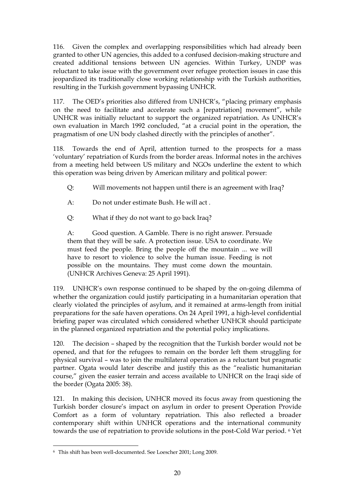116. Given the complex and overlapping responsibilities which had already been granted to other UN agencies, this added to a confused decision-making structure and created additional tensions between UN agencies. Within Turkey, UNDP was reluctant to take issue with the government over refugee protection issues in case this jeopardized its traditionally close working relationship with the Turkish authorities, resulting in the Turkish government bypassing UNHCR.

117. The OED"s priorities also differed from UNHCR"s, "placing primary emphasis on the need to facilitate and accelerate such a [repatriation] movement", while UNHCR was initially reluctant to support the organized repatriation. As UNHCR"s own evaluation in March 1992 concluded, "at a crucial point in the operation, the pragmatism of one UN body clashed directly with the principles of another".

118. Towards the end of April, attention turned to the prospects for a mass "voluntary" repatriation of Kurds from the border areas. Informal notes in the archives from a meeting held between US military and NGOs underline the extent to which this operation was being driven by American military and political power:

- Q: Will movements not happen until there is an agreement with Iraq?
- A: Do not under estimate Bush. He will act .
- Q: What if they do not want to go back Iraq?

A: Good question. A Gamble. There is no right answer. Persuade them that they will be safe. A protection issue. USA to coordinate. We must feed the people. Bring the people off the mountain ... we will have to resort to violence to solve the human issue. Feeding is not possible on the mountains. They must come down the mountain. (UNHCR Archives Geneva: 25 April 1991).

119. UNHCR"s own response continued to be shaped by the on-going dilemma of whether the organization could justify participating in a humanitarian operation that clearly violated the principles of asylum, and it remained at arms-length from initial preparations for the safe haven operations. On 24 April 1991, a high-level confidential briefing paper was circulated which considered whether UNHCR should participate in the planned organized repatriation and the potential policy implications.

120. The decision – shaped by the recognition that the Turkish border would not be opened, and that for the refugees to remain on the border left them struggling for physical survival – was to join the multilateral operation as a reluctant but pragmatic partner. Ogata would later describe and justify this as the "realistic humanitarian course," given the easier terrain and access available to UNHCR on the Iraqi side of the border (Ogata 2005: 38).

121. In making this decision, UNHCR moved its focus away from questioning the Turkish border closure's impact on asylum in order to present Operation Provide Comfort as a form of voluntary repatriation. This also reflected a broader contemporary shift within UNHCR operations and the international community towards the use of repatriation to provide solutions in the post-Cold War period. <sup>6</sup> Yet

 $\overline{a}$ 

<sup>6</sup> This shift has been well-documented. See Loescher 2001; Long 2009.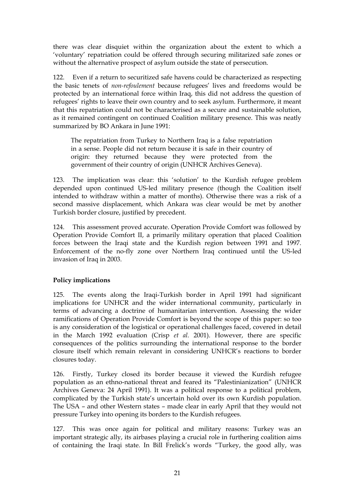there was clear disquiet within the organization about the extent to which a "voluntary" repatriation could be offered through securing militarized safe zones or without the alternative prospect of asylum outside the state of persecution.

122. Even if a return to securitized safe havens could be characterized as respecting the basic tenets of *non-refoulement* because refugees' lives and freedoms would be protected by an international force within Iraq, this did not address the question of refugees' rights to leave their own country and to seek asylum. Furthermore, it meant that this repatriation could not be characterised as a secure and sustainable solution, as it remained contingent on continued Coalition military presence. This was neatly summarized by BO Ankara in June 1991:

The repatriation from Turkey to Northern Iraq is a false repatriation in a sense. People did not return because it is safe in their country of origin: they returned because they were protected from the government of their country of origin (UNHCR Archives Geneva).

123. The implication was clear: this "solution" to the Kurdish refugee problem depended upon continued US-led military presence (though the Coalition itself intended to withdraw within a matter of months). Otherwise there was a risk of a second massive displacement, which Ankara was clear would be met by another Turkish border closure, justified by precedent.

124. This assessment proved accurate. Operation Provide Comfort was followed by Operation Provide Comfort II, a primarily military operation that placed Coalition forces between the Iraqi state and the Kurdish region between 1991 and 1997. Enforcement of the no-fly zone over Northern Iraq continued until the US-led invasion of Iraq in 2003.

## **Policy implications**

125. The events along the Iraqi-Turkish border in April 1991 had significant implications for UNHCR and the wider international community, particularly in terms of advancing a doctrine of humanitarian intervention. Assessing the wider ramifications of Operation Provide Comfort is beyond the scope of this paper: so too is any consideration of the logistical or operational challenges faced, covered in detail in the March 1992 evaluation (Crisp *et al.* 2001). However, there are specific consequences of the politics surrounding the international response to the border closure itself which remain relevant in considering UNHCR"s reactions to border closures today.

126. Firstly, Turkey closed its border because it viewed the Kurdish refugee population as an ethno-national threat and feared its "Palestinianization" (UNHCR Archives Geneva: 24 April 1991). It was a political response to a political problem, complicated by the Turkish state"s uncertain hold over its own Kurdish population. The USA – and other Western states – made clear in early April that they would not pressure Turkey into opening its borders to the Kurdish refugees.

127. This was once again for political and military reasons: Turkey was an important strategic ally, its airbases playing a crucial role in furthering coalition aims of containing the Iraqi state. In Bill Frelick's words "Turkey, the good ally, was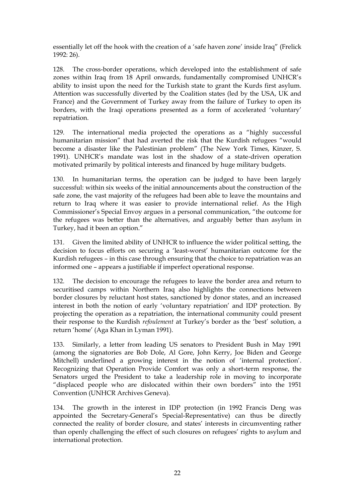essentially let off the hook with the creation of a "safe haven zone" inside Iraq" (Frelick 1992: 26).

128. The cross-border operations, which developed into the establishment of safe zones within Iraq from 18 April onwards, fundamentally compromised UNHCR"s ability to insist upon the need for the Turkish state to grant the Kurds first asylum. Attention was successfully diverted by the Coalition states (led by the USA, UK and France) and the Government of Turkey away from the failure of Turkey to open its borders, with the Iraqi operations presented as a form of accelerated "voluntary" repatriation.

129. The international media projected the operations as a "highly successful humanitarian mission" that had averted the risk that the Kurdish refugees "would become a disaster like the Palestinian problem" (The New York Times, Kinzer, S. 1991). UNHCR"s mandate was lost in the shadow of a state-driven operation motivated primarily by political interests and financed by huge military budgets.

130. In humanitarian terms, the operation can be judged to have been largely successful: within six weeks of the initial announcements about the construction of the safe zone, the vast majority of the refugees had been able to leave the mountains and return to Iraq where it was easier to provide international relief. As the High Commissioner"s Special Envoy argues in a personal communication, "the outcome for the refugees was better than the alternatives, and arguably better than asylum in Turkey, had it been an option."

131. Given the limited ability of UNHCR to influence the wider political setting, the decision to focus efforts on securing a "least-worst" humanitarian outcome for the Kurdish refugees – in this case through ensuring that the choice to repatriation was an informed one – appears a justifiable if imperfect operational response.

132. The decision to encourage the refugees to leave the border area and return to securitised camps within Northern Iraq also highlights the connections between border closures by reluctant host states, sanctioned by donor states, and an increased interest in both the notion of early "voluntary repatriation" and IDP protection. By projecting the operation as a repatriation, the international community could present their response to the Kurdish *refoulement* at Turkey"s border as the "best" solution, a return "home" (Aga Khan in Lyman 1991).

133. Similarly, a letter from leading US senators to President Bush in May 1991 (among the signatories are Bob Dole, Al Gore, John Kerry, Joe Biden and George Mitchell) underlined a growing interest in the notion of "internal protection". Recognizing that Operation Provide Comfort was only a short-term response, the Senators urged the President to take a leadership role in moving to incorporate "displaced people who are dislocated within their own borders" into the 1951 Convention (UNHCR Archives Geneva).

134. The growth in the interest in IDP protection (in 1992 Francis Deng was appointed the Secretary-General"s Special-Representative) can thus be directly connected the reality of border closure, and states" interests in circumventing rather than openly challenging the effect of such closures on refugees' rights to asylum and international protection.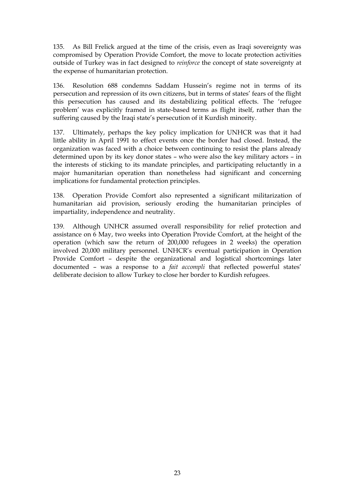135. As Bill Frelick argued at the time of the crisis, even as Iraqi sovereignty was compromised by Operation Provide Comfort, the move to locate protection activities outside of Turkey was in fact designed to *reinforce* the concept of state sovereignty at the expense of humanitarian protection.

136. Resolution 688 condemns Saddam Hussein's regime not in terms of its persecution and repression of its own citizens, but in terms of states" fears of the flight this persecution has caused and its destabilizing political effects. The "refugee problem" was explicitly framed in state-based terms as flight itself, rather than the suffering caused by the Iraqi state's persecution of it Kurdish minority.

137. Ultimately, perhaps the key policy implication for UNHCR was that it had little ability in April 1991 to effect events once the border had closed. Instead, the organization was faced with a choice between continuing to resist the plans already determined upon by its key donor states – who were also the key military actors – in the interests of sticking to its mandate principles, and participating reluctantly in a major humanitarian operation than nonetheless had significant and concerning implications for fundamental protection principles.

138. Operation Provide Comfort also represented a significant militarization of humanitarian aid provision, seriously eroding the humanitarian principles of impartiality, independence and neutrality.

139. Although UNHCR assumed overall responsibility for relief protection and assistance on 6 May, two weeks into Operation Provide Comfort, at the height of the operation (which saw the return of 200,000 refugees in 2 weeks) the operation involved 20,000 military personnel. UNHCR"s eventual participation in Operation Provide Comfort – despite the organizational and logistical shortcomings later documented – was a response to a *fait accompli* that reflected powerful states" deliberate decision to allow Turkey to close her border to Kurdish refugees.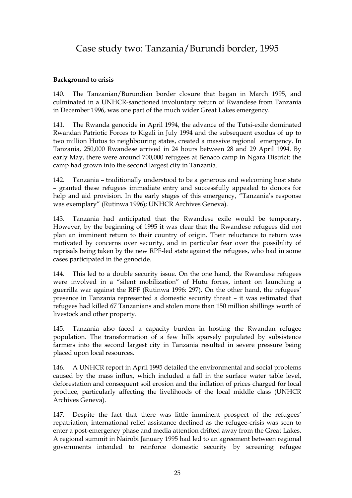## Case study two: Tanzania/Burundi border, 1995

## **Background to crisis**

140. The Tanzanian/Burundian border closure that began in March 1995, and culminated in a UNHCR-sanctioned involuntary return of Rwandese from Tanzania in December 1996, was one part of the much wider Great Lakes emergency.

141. The Rwanda genocide in April 1994, the advance of the Tutsi-exile dominated Rwandan Patriotic Forces to Kigali in July 1994 and the subsequent exodus of up to two million Hutus to neighbouring states, created a massive regional emergency. In Tanzania, 250,000 Rwandese arrived in 24 hours between 28 and 29 April 1994. By early May, there were around 700,000 refugees at Benaco camp in Ngara District: the camp had grown into the second largest city in Tanzania.

142. Tanzania – traditionally understood to be a generous and welcoming host state – granted these refugees immediate entry and successfully appealed to donors for help and aid provision. In the early stages of this emergency, "Tanzania's response was exemplary" (Rutinwa 1996); UNHCR Archives Geneva).

143. Tanzania had anticipated that the Rwandese exile would be temporary. However, by the beginning of 1995 it was clear that the Rwandese refugees did not plan an imminent return to their country of origin. Their reluctance to return was motivated by concerns over security, and in particular fear over the possibility of reprisals being taken by the new RPF-led state against the refugees, who had in some cases participated in the genocide.

144. This led to a double security issue. On the one hand, the Rwandese refugees were involved in a "silent mobilization" of Hutu forces, intent on launching a guerrilla war against the RPF (Rutinwa 1996: 297). On the other hand, the refugees" presence in Tanzania represented a domestic security threat – it was estimated that refugees had killed 67 Tanzanians and stolen more than 150 million shillings worth of livestock and other property.

145. Tanzania also faced a capacity burden in hosting the Rwandan refugee population. The transformation of a few hills sparsely populated by subsistence farmers into the second largest city in Tanzania resulted in severe pressure being placed upon local resources.

146. A UNHCR report in April 1995 detailed the environmental and social problems caused by the mass influx, which included a fall in the surface water table level, deforestation and consequent soil erosion and the inflation of prices charged for local produce, particularly affecting the livelihoods of the local middle class (UNHCR Archives Geneva).

147. Despite the fact that there was little imminent prospect of the refugees" repatriation, international relief assistance declined as the refugee-crisis was seen to enter a post-emergency phase and media attention drifted away from the Great Lakes. A regional summit in Nairobi January 1995 had led to an agreement between regional governments intended to reinforce domestic security by screening refugee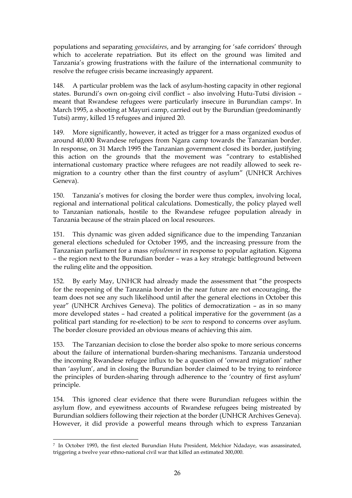populations and separating *genocidaires*, and by arranging for "safe corridors" through which to accelerate repatriation. But its effect on the ground was limited and Tanzania"s growing frustrations with the failure of the international community to resolve the refugee crisis became increasingly apparent.

148. A particular problem was the lack of asylum-hosting capacity in other regional states. Burundi's own on-going civil conflict - also involving Hutu-Tutsi division meant that Rwandese refugees were particularly insecure in Burundian camps7. In March 1995, a shooting at Mayuri camp, carried out by the Burundian (predominantly Tutsi) army, killed 15 refugees and injured 20.

149. More significantly, however, it acted as trigger for a mass organized exodus of around 40,000 Rwandese refugees from Ngara camp towards the Tanzanian border. In response, on 31 March 1995 the Tanzanian government closed its border, justifying this action on the grounds that the movement was "contrary to established international customary practice where refugees are not readily allowed to seek remigration to a country other than the first country of asylum" (UNHCR Archives Geneva).

150. Tanzania"s motives for closing the border were thus complex, involving local, regional and international political calculations. Domestically, the policy played well to Tanzanian nationals, hostile to the Rwandese refugee population already in Tanzania because of the strain placed on local resources.

151. This dynamic was given added significance due to the impending Tanzanian general elections scheduled for October 1995, and the increasing pressure from the Tanzanian parliament for a mass *refoulement* in response to popular agitation. Kigoma – the region next to the Burundian border – was a key strategic battleground between the ruling elite and the opposition.

152. By early May, UNHCR had already made the assessment that "the prospects for the reopening of the Tanzania border in the near future are not encouraging, the team does not see any such likelihood until after the general elections in October this year" (UNHCR Archives Geneva). The politics of democratization – as in so many more developed states – had created a political imperative for the government (as a political part standing for re-election) to be *seen* to respond to concerns over asylum. The border closure provided an obvious means of achieving this aim.

153. The Tanzanian decision to close the border also spoke to more serious concerns about the failure of international burden-sharing mechanisms. Tanzania understood the incoming Rwandese refugee influx to be a question of "onward migration" rather than "asylum", and in closing the Burundian border claimed to be trying to reinforce the principles of burden-sharing through adherence to the "country of first asylum" principle.

154. This ignored clear evidence that there were Burundian refugees within the asylum flow, and eyewitness accounts of Rwandese refugees being mistreated by Burundian soldiers following their rejection at the border (UNHCR Archives Geneva). However, it did provide a powerful means through which to express Tanzanian

<sup>7</sup> In October 1993, the first elected Burundian Hutu President, Melchior Ndadaye, was assassinated, triggering a twelve year ethno-national civil war that killed an estimated 300,000.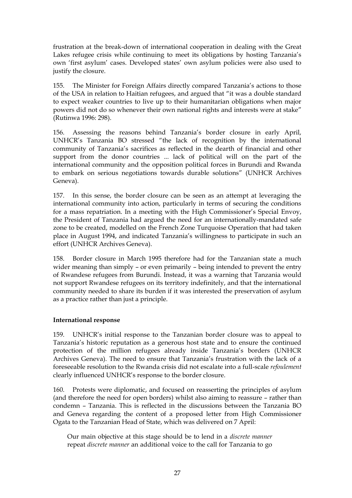frustration at the break-down of international cooperation in dealing with the Great Lakes refugee crisis while continuing to meet its obligations by hosting Tanzania's own "first asylum" cases. Developed states" own asylum policies were also used to justify the closure.

155. The Minister for Foreign Affairs directly compared Tanzania's actions to those of the USA in relation to Haitian refugees, and argued that "it was a double standard to expect weaker countries to live up to their humanitarian obligations when major powers did not do so whenever their own national rights and interests were at stake" (Rutinwa 1996: 298).

156. Assessing the reasons behind Tanzania's border closure in early April, UNHCR"s Tanzania BO stressed "the lack of recognition by the international community of Tanzania"s sacrifices as reflected in the dearth of financial and other support from the donor countries ... lack of political will on the part of the international community and the opposition political forces in Burundi and Rwanda to embark on serious negotiations towards durable solutions" (UNHCR Archives Geneva).

157. In this sense, the border closure can be seen as an attempt at leveraging the international community into action, particularly in terms of securing the conditions for a mass repatriation. In a meeting with the High Commissioner's Special Envoy, the President of Tanzania had argued the need for an internationally-mandated safe zone to be created, modelled on the French Zone Turquoise Operation that had taken place in August 1994, and indicated Tanzania"s willingness to participate in such an effort (UNHCR Archives Geneva).

158. Border closure in March 1995 therefore had for the Tanzanian state a much wider meaning than simply – or even primarily – being intended to prevent the entry of Rwandese refugees from Burundi. Instead, it was a warning that Tanzania would not support Rwandese refugees on its territory indefinitely, and that the international community needed to share its burden if it was interested the preservation of asylum as a practice rather than just a principle.

### **International response**

159. UNHCR"s initial response to the Tanzanian border closure was to appeal to Tanzania's historic reputation as a generous host state and to ensure the continued protection of the million refugees already inside Tanzania"s borders (UNHCR Archives Geneva). The need to ensure that Tanzania's frustration with the lack of a foreseeable resolution to the Rwanda crisis did not escalate into a full-scale *refoulement* clearly influenced UNHCR"s response to the border closure.

160. Protests were diplomatic, and focused on reasserting the principles of asylum (and therefore the need for open borders) whilst also aiming to reassure – rather than condemn – Tanzania. This is reflected in the discussions between the Tanzania BO and Geneva regarding the content of a proposed letter from High Commissioner Ogata to the Tanzanian Head of State, which was delivered on 7 April:

Our main objective at this stage should be to lend in a *discrete manner* repeat *discrete manner* an additional voice to the call for Tanzania to go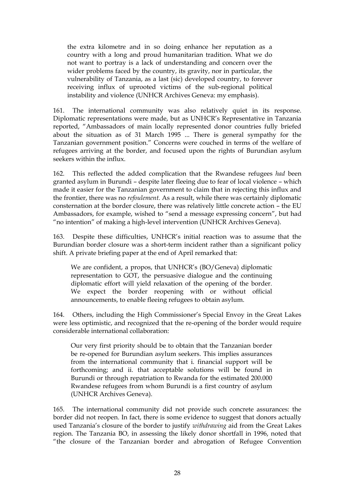the extra kilometre and in so doing enhance her reputation as a country with a long and proud humanitarian tradition. What we do not want to portray is a lack of understanding and concern over the wider problems faced by the country, its gravity, nor in particular, the vulnerability of Tanzania, as a last (sic) developed country, to forever receiving influx of uprooted victims of the sub-regional political instability and violence (UNHCR Archives Geneva: my emphasis).

161. The international community was also relatively quiet in its response. Diplomatic representations were made, but as UNHCR"s Representative in Tanzania reported, "Ambassadors of main locally represented donor countries fully briefed about the situation as of 31 March 1995 ... There is general sympathy for the Tanzanian government position." Concerns were couched in terms of the welfare of refugees arriving at the border, and focused upon the rights of Burundian asylum seekers within the influx.

162. This reflected the added complication that the Rwandese refugees *had* been granted asylum in Burundi – despite later fleeing due to fear of local violence – which made it easier for the Tanzanian government to claim that in rejecting this influx and the frontier, there was no *refoulement.* As a result, while there was certainly diplomatic consternation at the border closure, there was relatively little concrete action – the EU Ambassadors, for example, wished to "send a message expressing concern", but had "no intention" of making a high-level intervention (UNHCR Archives Geneva).

163. Despite these difficulties, UNHCR"s initial reaction was to assume that the Burundian border closure was a short-term incident rather than a significant policy shift. A private briefing paper at the end of April remarked that:

We are confident, a propos, that UNHCR's (BO/Geneva) diplomatic representation to GOT, the persuasive dialogue and the continuing diplomatic effort will yield relaxation of the opening of the border. We expect the border reopening with or without official announcements, to enable fleeing refugees to obtain asylum.

164. Others, including the High Commissioner"s Special Envoy in the Great Lakes were less optimistic, and recognized that the re-opening of the border would require considerable international collaboration:

Our very first priority should be to obtain that the Tanzanian border be re-opened for Burundian asylum seekers. This implies assurances from the international community that i. financial support will be forthcoming; and ii. that acceptable solutions will be found in Burundi or through repatriation to Rwanda for the estimated 200.000 Rwandese refugees from whom Burundi is a first country of asylum (UNHCR Archives Geneva).

165. The international community did not provide such concrete assurances: the border did not reopen. In fact, there is some evidence to suggest that donors actually used Tanzania"s closure of the border to justify *withdrawing* aid from the Great Lakes region. The Tanzania BO, in assessing the likely donor shortfall in 1996, noted that "the closure of the Tanzanian border and abrogation of Refugee Convention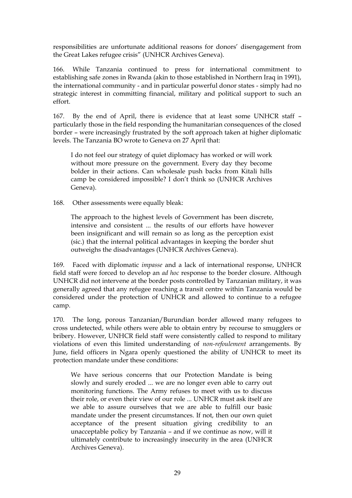responsibilities are unfortunate additional reasons for donors" disengagement from the Great Lakes refugee crisis" (UNHCR Archives Geneva).

166. While Tanzania continued to press for international commitment to establishing safe zones in Rwanda (akin to those established in Northern Iraq in 1991), the international community - and in particular powerful donor states - simply had no strategic interest in committing financial, military and political support to such an effort.

167. By the end of April, there is evidence that at least some UNHCR staff – particularly those in the field responding the humanitarian consequences of the closed border – were increasingly frustrated by the soft approach taken at higher diplomatic levels. The Tanzania BO wrote to Geneva on 27 April that:

I do not feel our strategy of quiet diplomacy has worked or will work without more pressure on the government. Every day they become bolder in their actions. Can wholesale push backs from Kitali hills camp be considered impossible? I don"t think so (UNHCR Archives Geneva).

168. Other assessments were equally bleak:

The approach to the highest levels of Government has been discrete, intensive and consistent ... the results of our efforts have however been insignificant and will remain so as long as the perception exist (sic.) that the internal political advantages in keeping the border shut outweighs the disadvantages (UNHCR Archives Geneva).

169. Faced with diplomatic *impasse* and a lack of international response, UNHCR field staff were forced to develop an *ad hoc* response to the border closure. Although UNHCR did not intervene at the border posts controlled by Tanzanian military, it was generally agreed that any refugee reaching a transit centre within Tanzania would be considered under the protection of UNHCR and allowed to continue to a refugee camp.

170. The long, porous Tanzanian/Burundian border allowed many refugees to cross undetected, while others were able to obtain entry by recourse to smugglers or bribery. However, UNHCR field staff were consistently called to respond to military violations of even this limited understanding of *non-refoulement* arrangements. By June, field officers in Ngara openly questioned the ability of UNHCR to meet its protection mandate under these conditions:

We have serious concerns that our Protection Mandate is being slowly and surely eroded ... we are no longer even able to carry out monitoring functions. The Army refuses to meet with us to discuss their role, or even their view of our role ... UNHCR must ask itself are we able to assure ourselves that we are able to fulfill our basic mandate under the present circumstances. If not, then our own quiet acceptance of the present situation giving credibility to an unacceptable policy by Tanzania – and if we continue as now, will it ultimately contribute to increasingly insecurity in the area (UNHCR Archives Geneva).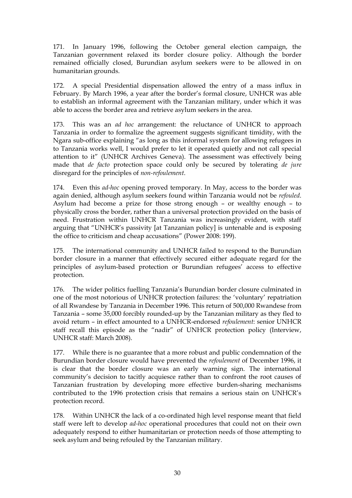171. In January 1996, following the October general election campaign, the Tanzanian government relaxed its border closure policy. Although the border remained officially closed, Burundian asylum seekers were to be allowed in on humanitarian grounds.

172. A special Presidential dispensation allowed the entry of a mass influx in February. By March 1996, a year after the border's formal closure, UNHCR was able to establish an informal agreement with the Tanzanian military, under which it was able to access the border area and retrieve asylum seekers in the area.

173. This was an *ad hoc* arrangement: the reluctance of UNHCR to approach Tanzania in order to formalize the agreement suggests significant timidity, with the Ngara sub-office explaining "as long as this informal system for allowing refugees in to Tanzania works well, I would prefer to let it operated quietly and not call special attention to it" (UNHCR Archives Geneva). The assessment was effectively being made that *de facto* protection space could only be secured by tolerating *de jure* disregard for the principles of *non-refoulement*.

174. Even this *ad-hoc* opening proved temporary. In May, access to the border was again denied, although asylum seekers found within Tanzania would not be *refouled*. Asylum had become a prize for those strong enough – or wealthy enough – to physically cross the border, rather than a universal protection provided on the basis of need. Frustration within UNHCR Tanzania was increasingly evident, with staff arguing that "UNHCR"s passivity [at Tanzanian policy] is untenable and is exposing the office to criticism and cheap accusations" (Power 2008: 199).

175. The international community and UNHCR failed to respond to the Burundian border closure in a manner that effectively secured either adequate regard for the principles of asylum-based protection or Burundian refugees' access to effective protection.

176. The wider politics fuelling Tanzania"s Burundian border closure culminated in one of the most notorious of UNHCR protection failures: the "voluntary" repatriation of all Rwandese by Tanzania in December 1996. This return of 500,000 Rwandese from Tanzania – some 35,000 forcibly rounded-up by the Tanzanian military as they fled to avoid return – in effect amounted to a UNHCR-endorsed *refoulement*: senior UNHCR staff recall this episode as the "nadir" of UNHCR protection policy (Interview, UNHCR staff: March 2008).

177. While there is no guarantee that a more robust and public condemnation of the Burundian border closure would have prevented the *refoulement* of December 1996, it is clear that the border closure was an early warning sign. The international community"s decision to tacitly acquiesce rather than to confront the root causes of Tanzanian frustration by developing more effective burden-sharing mechanisms contributed to the 1996 protection crisis that remains a serious stain on UNHCR"s protection record.

178. Within UNHCR the lack of a co-ordinated high level response meant that field staff were left to develop *ad-hoc* operational procedures that could not on their own adequately respond to either humanitarian or protection needs of those attempting to seek asylum and being refouled by the Tanzanian military.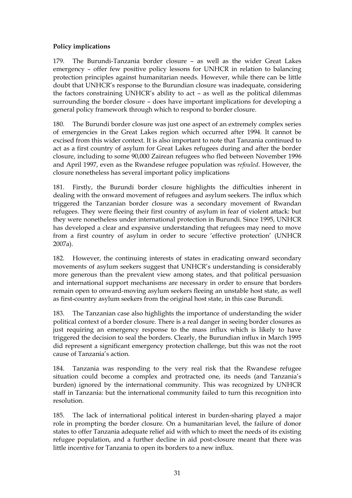## **Policy implications**

179. The Burundi-Tanzania border closure – as well as the wider Great Lakes emergency – offer few positive policy lessons for UNHCR in relation to balancing protection principles against humanitarian needs. However, while there can be little doubt that UNHCR"s response to the Burundian closure was inadequate, considering the factors constraining UNHCR"s ability to act – as well as the political dilemmas surrounding the border closure – does have important implications for developing a general policy framework through which to respond to border closure.

180. The Burundi border closure was just one aspect of an extremely complex series of emergencies in the Great Lakes region which occurred after 1994. It cannot be excised from this wider context. It is also important to note that Tanzania continued to act as a first country of asylum for Great Lakes refugees during and after the border closure, including to some 90,000 Zairean refugees who fled between November 1996 and April 1997, even as the Rwandese refugee population was *refouled*. However, the closure nonetheless has several important policy implications

181. Firstly, the Burundi border closure highlights the difficulties inherent in dealing with the onward movement of refugees and asylum seekers. The influx which triggered the Tanzanian border closure was a secondary movement of Rwandan refugees. They were fleeing their first country of asylum in fear of violent attack: but they were nonetheless under international protection in Burundi. Since 1995, UNHCR has developed a clear and expansive understanding that refugees may need to move from a first country of asylum in order to secure "effective protection" (UNHCR 2007a).

182. However, the continuing interests of states in eradicating onward secondary movements of asylum seekers suggest that UNHCR"s understanding is considerably more generous than the prevalent view among states, and that political persuasion and international support mechanisms are necessary in order to ensure that borders remain open to onward-moving asylum seekers fleeing an unstable host state, as well as first-country asylum seekers from the original host state, in this case Burundi.

183. The Tanzanian case also highlights the importance of understanding the wider political context of a border closure. There is a real danger in seeing border closures as just requiring an emergency response to the mass influx which is likely to have triggered the decision to seal the borders. Clearly, the Burundian influx in March 1995 did represent a significant emergency protection challenge, but this was not the root cause of Tanzania"s action.

184. Tanzania was responding to the very real risk that the Rwandese refugee situation could become a complex and protracted one, its needs (and Tanzania's burden) ignored by the international community. This was recognized by UNHCR staff in Tanzania: but the international community failed to turn this recognition into resolution.

185. The lack of international political interest in burden-sharing played a major role in prompting the border closure. On a humanitarian level, the failure of donor states to offer Tanzania adequate relief aid with which to meet the needs of its existing refugee population, and a further decline in aid post-closure meant that there was little incentive for Tanzania to open its borders to a new influx.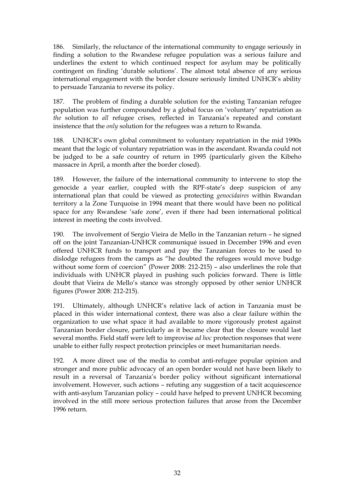186. Similarly, the reluctance of the international community to engage seriously in finding a solution to the Rwandese refugee population was a serious failure and underlines the extent to which continued respect for asylum may be politically contingent on finding 'durable solutions'. The almost total absence of any serious international engagement with the border closure seriously limited UNHCR"s ability to persuade Tanzania to reverse its policy.

187. The problem of finding a durable solution for the existing Tanzanian refugee population was further compounded by a global focus on "voluntary" repatriation as *the* solution to *all* refugee crises, reflected in Tanzania"s repeated and constant insistence that the *only* solution for the refugees was a return to Rwanda.

188. UNHCR"s own global commitment to voluntary repatriation in the mid 1990s meant that the logic of voluntary repatriation was in the ascendant. Rwanda could not be judged to be a safe country of return in 1995 (particularly given the Kibeho massacre in April, a month after the border closed).

189. However, the failure of the international community to intervene to stop the genocide a year earlier, coupled with the RPF-state's deep suspicion of any international plan that could be viewed as protecting *genocidaires* within Rwandan territory a la Zone Turquoise in 1994 meant that there would have been no political space for any Rwandese "safe zone", even if there had been international political interest in meeting the costs involved.

190. The involvement of Sergio Vieira de Mello in the Tanzanian return – he signed off on the joint Tanzanian-UNHCR communiqué issued in December 1996 and even offered UNHCR funds to transport and pay the Tanzanian forces to be used to dislodge refugees from the camps as "he doubted the refugees would move budge without some form of coercion" (Power 2008: 212-215) – also underlines the role that individuals with UNHCR played in pushing such policies forward. There is little doubt that Vieira de Mello"s stance was strongly opposed by other senior UNHCR figures (Power 2008: 212-215).

191. Ultimately, although UNHCR"s relative lack of action in Tanzania must be placed in this wider international context, there was also a clear failure within the organization to use what space it had available to more vigorously protest against Tanzanian border closure, particularly as it became clear that the closure would last several months. Field staff were left to improvise *ad hoc* protection responses that were unable to either fully respect protection principles or meet humanitarian needs.

192. A more direct use of the media to combat anti-refugee popular opinion and stronger and more public advocacy of an open border would not have been likely to result in a reversal of Tanzania's border policy without significant international involvement. However, such actions – refuting any suggestion of a tacit acquiescence with anti-asylum Tanzanian policy – could have helped to prevent UNHCR becoming involved in the still more serious protection failures that arose from the December 1996 return.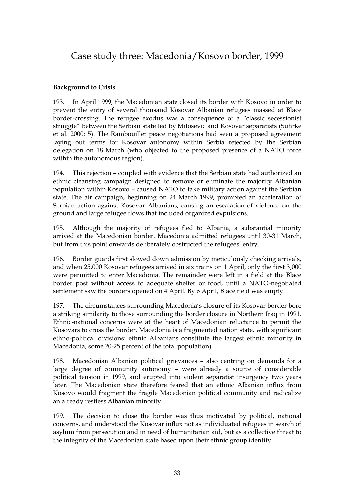# Case study three: Macedonia/Kosovo border, 1999

### **Background to Crisi***s*

193. In April 1999, the Macedonian state closed its border with Kosovo in order to prevent the entry of several thousand Kosovar Albanian refugees massed at Blace border-crossing. The refugee exodus was a consequence of a "classic secessionist struggle" between the Serbian state led by Milosevic and Kosovar separatists (Suhrke et al. 2000: 5). The Rambouillet peace negotiations had seen a proposed agreement laying out terms for Kosovar autonomy within Serbia rejected by the Serbian delegation on 18 March (who objected to the proposed presence of a NATO force within the autonomous region).

194. This rejection – coupled with evidence that the Serbian state had authorized an ethnic cleansing campaign designed to remove or eliminate the majority Albanian population within Kosovo – caused NATO to take military action against the Serbian state. The air campaign, beginning on 24 March 1999, prompted an acceleration of Serbian action against Kosovar Albanians, causing an escalation of violence on the ground and large refugee flows that included organized expulsions.

195. Although the majority of refugees fled to Albania, a substantial minority arrived at the Macedonian border. Macedonia admitted refugees until 30-31 March, but from this point onwards deliberately obstructed the refugees' entry.

196. Border guards first slowed down admission by meticulously checking arrivals, and when 25,000 Kosovar refugees arrived in six trains on 1 April, only the first 3,000 were permitted to enter Macedonia. The remainder were left in a field at the Blace border post without access to adequate shelter or food, until a NATO-negotiated settlement saw the borders opened on 4 April. By 6 April, Blace field was empty.

197. The circumstances surrounding Macedonia"s closure of its Kosovar border bore a striking similarity to those surrounding the border closure in Northern Iraq in 1991. Ethnic-national concerns were at the heart of Macedonian reluctance to permit the Kosovars to cross the border. Macedonia is a fragmented nation state, with significant ethno-political divisions: ethnic Albanians constitute the largest ethnic minority in Macedonia, some 20-25 percent of the total population).

198. Macedonian Albanian political grievances – also centring on demands for a large degree of community autonomy – were already a source of considerable political tension in 1999, and erupted into violent separatist insurgency two years later. The Macedonian state therefore feared that an ethnic Albanian influx from Kosovo would fragment the fragile Macedonian political community and radicalize an already restless Albanian minority.

199. The decision to close the border was thus motivated by political, national concerns, and understood the Kosovar influx not as individuated refugees in search of asylum from persecution and in need of humanitarian aid, but as a collective threat to the integrity of the Macedonian state based upon their ethnic group identity.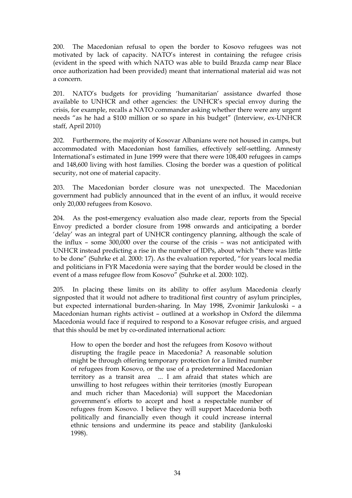200. The Macedonian refusal to open the border to Kosovo refugees was not motivated by lack of capacity. NATO"s interest in containing the refugee crisis (evident in the speed with which NATO was able to build Brazda camp near Blace once authorization had been provided) meant that international material aid was not a concern.

201. NATO"s budgets for providing "humanitarian" assistance dwarfed those available to UNHCR and other agencies: the UNHCR"s special envoy during the crisis, for example, recalls a NATO commander asking whether there were any urgent needs "as he had a \$100 million or so spare in his budget" (Interview, ex-UNHCR staff, April 2010)

202. Furthermore, the majority of Kosovar Albanians were not housed in camps, but accommodated with Macedonian host families, effectively self-settling. Amnesty International"s estimated in June 1999 were that there were 108,400 refugees in camps and 148,600 living with host families. Closing the border was a question of political security, not one of material capacity.

203. The Macedonian border closure was not unexpected. The Macedonian government had publicly announced that in the event of an influx, it would receive only 20,000 refugees from Kosovo.

204. As the post-emergency evaluation also made clear, reports from the Special Envoy predicted a border closure from 1998 onwards and anticipating a border "delay" was an integral part of UNHCR contingency planning, although the scale of the influx – some 300,000 over the course of the crisis – was not anticipated with UNHCR instead predicting a rise in the number of IDPs, about which "there was little to be done" (Suhrke et al. 2000: 17). As the evaluation reported, "for years local media and politicians in FYR Macedonia were saying that the border would be closed in the event of a mass refugee flow from Kosovo" (Suhrke et al. 2000: 102).

205. In placing these limits on its ability to offer asylum Macedonia clearly signposted that it would not adhere to traditional first country of asylum principles, but expected international burden-sharing. In May 1998, Zvonimir Jankuloski – a Macedonian human rights activist – outlined at a workshop in Oxford the dilemma Macedonia would face if required to respond to a Kosovar refugee crisis, and argued that this should be met by co-ordinated international action:

How to open the border and host the refugees from Kosovo without disrupting the fragile peace in Macedonia? A reasonable solution might be through offering temporary protection for a limited number of refugees from Kosovo, or the use of a predetermined Macedonian territory as a transit area ... I am afraid that states which are unwilling to host refugees within their territories (mostly European and much richer than Macedonia) will support the Macedonian government"s efforts to accept and host a respectable number of refugees from Kosovo. I believe they will support Macedonia both politically and financially even though it could increase internal ethnic tensions and undermine its peace and stability (Jankuloski 1998).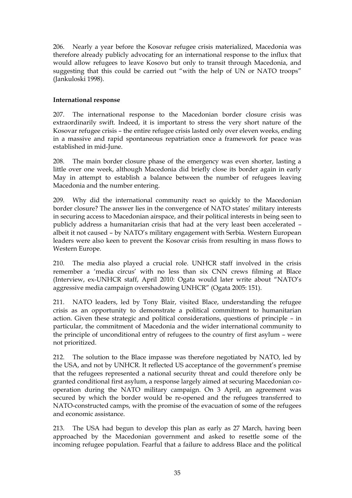206. Nearly a year before the Kosovar refugee crisis materialized, Macedonia was therefore already publicly advocating for an international response to the influx that would allow refugees to leave Kosovo but only to transit through Macedonia, and suggesting that this could be carried out "with the help of UN or NATO troops" (Jankuloski 1998).

## **International response**

207. The international response to the Macedonian border closure crisis was extraordinarily swift. Indeed, it is important to stress the very short nature of the Kosovar refugee crisis – the entire refugee crisis lasted only over eleven weeks, ending in a massive and rapid spontaneous repatriation once a framework for peace was established in mid-June.

208. The main border closure phase of the emergency was even shorter, lasting a little over one week, although Macedonia did briefly close its border again in early May in attempt to establish a balance between the number of refugees leaving Macedonia and the number entering.

209. Why did the international community react so quickly to the Macedonian border closure? The answer lies in the convergence of NATO states' military interests in securing access to Macedonian airspace, and their political interests in being seen to publicly address a humanitarian crisis that had at the very least been accelerated – albeit it not caused - by NATO's military engagement with Serbia. Western European leaders were also keen to prevent the Kosovar crisis from resulting in mass flows to Western Europe.

210. The media also played a crucial role. UNHCR staff involved in the crisis remember a 'media circus' with no less than six CNN crews filming at Blace (Interview, ex-UNHCR staff, April 2010: Ogata would later write about "NATO"s aggressive media campaign overshadowing UNHCR" (Ogata 2005: 151).

211. NATO leaders, led by Tony Blair, visited Blace, understanding the refugee crisis as an opportunity to demonstrate a political commitment to humanitarian action. Given these strategic and political considerations, questions of principle – in particular, the commitment of Macedonia and the wider international community to the principle of unconditional entry of refugees to the country of first asylum – were not prioritized.

212. The solution to the Blace impasse was therefore negotiated by NATO, led by the USA, and not by UNHCR. It reflected US acceptance of the government"s premise that the refugees represented a national security threat and could therefore only be granted conditional first asylum, a response largely aimed at securing Macedonian cooperation during the NATO military campaign. On 3 April, an agreement was secured by which the border would be re-opened and the refugees transferred to NATO-constructed camps, with the promise of the evacuation of some of the refugees and economic assistance.

213. The USA had begun to develop this plan as early as 27 March, having been approached by the Macedonian government and asked to resettle some of the incoming refugee population. Fearful that a failure to address Blace and the political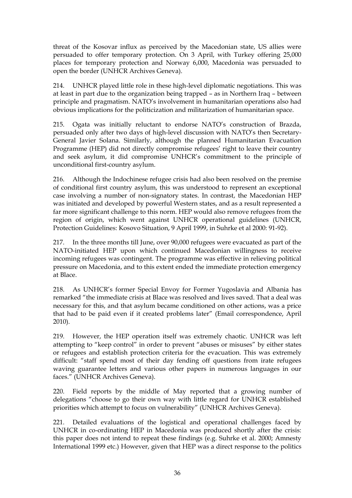threat of the Kosovar influx as perceived by the Macedonian state, US allies were persuaded to offer temporary protection. On 3 April, with Turkey offering 25,000 places for temporary protection and Norway 6,000, Macedonia was persuaded to open the border (UNHCR Archives Geneva).

214. UNHCR played little role in these high-level diplomatic negotiations. This was at least in part due to the organization being trapped – as in Northern Iraq – between principle and pragmatism. NATO"s involvement in humanitarian operations also had obvious implications for the politicization and militarization of humanitarian space.

215. Ogata was initially reluctant to endorse NATO"s construction of Brazda, persuaded only after two days of high-level discussion with NATO"s then Secretary-General Javier Solana. Similarly, although the planned Humanitarian Evacuation Programme (HEP) did not directly compromise refugees' right to leave their country and seek asylum, it did compromise UNHCR"s commitment to the principle of unconditional first-country asylum.

216. Although the Indochinese refugee crisis had also been resolved on the premise of conditional first country asylum, this was understood to represent an exceptional case involving a number of non-signatory states. In contrast, the Macedonian HEP was initiated and developed by powerful Western states, and as a result represented a far more significant challenge to this norm. HEP would also remove refugees from the region of origin, which went against UNHCR operational guidelines (UNHCR, Protection Guidelines: Kosovo Situation, 9 April 1999, in Suhrke et al 2000: 91-92).

217. In the three months till June, over 90,000 refugees were evacuated as part of the NATO-initiated HEP upon which continued Macedonian willingness to receive incoming refugees was contingent. The programme was effective in relieving political pressure on Macedonia, and to this extent ended the immediate protection emergency at Blace.

218. As UNHCR"s former Special Envoy for Former Yugoslavia and Albania has remarked "the immediate crisis at Blace was resolved and lives saved. That a deal was necessary for this, and that asylum became conditioned on other actions, was a price that had to be paid even if it created problems later" (Email correspondence, April 2010).

219. However, the HEP operation itself was extremely chaotic. UNHCR was left attempting to "keep control" in order to prevent "abuses or misuses" by either states or refugees and establish protection criteria for the evacuation. This was extremely difficult: "staff spend most of their day fending off questions from irate refugees waving guarantee letters and various other papers in numerous languages in our faces." (UNHCR Archives Geneva).

220. Field reports by the middle of May reported that a growing number of delegations "choose to go their own way with little regard for UNHCR established priorities which attempt to focus on vulnerability" (UNHCR Archives Geneva).

221. Detailed evaluations of the logistical and operational challenges faced by UNHCR in co-ordinating HEP in Macedonia was produced shortly after the crisis: this paper does not intend to repeat these findings (e.g. Suhrke et al. 2000; Amnesty International 1999 etc.) However, given that HEP was a direct response to the politics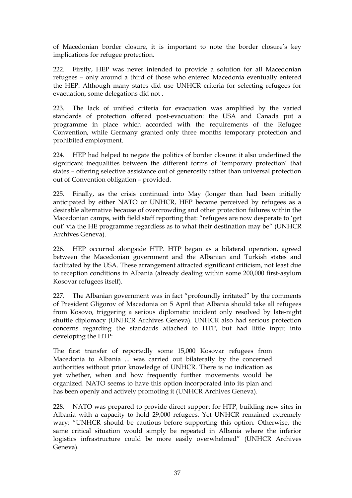of Macedonian border closure, it is important to note the border closure"s key implications for refugee protection.

222. Firstly, HEP was never intended to provide a solution for all Macedonian refugees – only around a third of those who entered Macedonia eventually entered the HEP. Although many states did use UNHCR criteria for selecting refugees for evacuation, some delegations did not .

223. The lack of unified criteria for evacuation was amplified by the varied standards of protection offered post-evacuation: the USA and Canada put a programme in place which accorded with the requirements of the Refugee Convention, while Germany granted only three months temporary protection and prohibited employment.

224. HEP had helped to negate the politics of border closure: it also underlined the significant inequalities between the different forms of "temporary protection" that states – offering selective assistance out of generosity rather than universal protection out of Convention obligation – provided.

225. Finally, as the crisis continued into May (longer than had been initially anticipated by either NATO or UNHCR, HEP became perceived by refugees as a desirable alternative because of overcrowding and other protection failures within the Macedonian camps, with field staff reporting that: "refugees are now desperate to "get out" via the HE programme regardless as to what their destination may be" (UNHCR Archives Geneva).

226. HEP occurred alongside HTP. HTP began as a bilateral operation, agreed between the Macedonian government and the Albanian and Turkish states and facilitated by the USA. These arrangement attracted significant criticism, not least due to reception conditions in Albania (already dealing within some 200,000 first-asylum Kosovar refugees itself).

227. The Albanian government was in fact "profoundly irritated" by the comments of President Gligorov of Macedonia on 5 April that Albania should take all refugees from Kosovo, triggering a serious diplomatic incident only resolved by late-night shuttle diplomacy (UNHCR Archives Geneva). UNHCR also had serious protection concerns regarding the standards attached to HTP, but had little input into developing the HTP:

The first transfer of reportedly some 15,000 Kosovar refugees from Macedonia to Albania ... was carried out bilaterally by the concerned authorities without prior knowledge of UNHCR. There is no indication as yet whether, when and how frequently further movements would be organized. NATO seems to have this option incorporated into its plan and has been openly and actively promoting it (UNHCR Archives Geneva).

228. NATO was prepared to provide direct support for HTP, building new sites in Albania with a capacity to hold 29,000 refugees. Yet UNHCR remained extremely wary: "UNHCR should be cautious before supporting this option. Otherwise, the same critical situation would simply be repeated in Albania where the inferior logistics infrastructure could be more easily overwhelmed" (UNHCR Archives Geneva).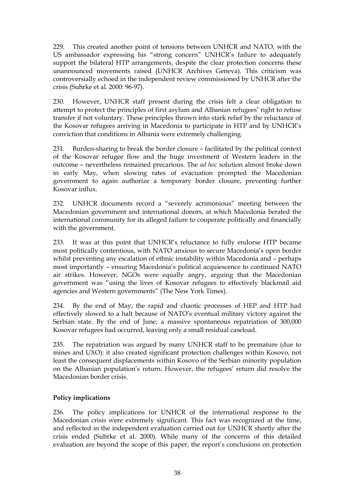229. This created another point of tensions between UNHCR and NATO, with the US ambassador expressing his "strong concern" UNHCR"s failure to adequately support the bilateral HTP arrangements, despite the clear protection concerns these unannounced movements raised (UNHCR Archives Geneva). This criticism was controversially echoed in the independent review commissioned by UNHCR after the crisis (Suhrke et al. 2000: 96-97).

230. However, UNHCR staff present during the crisis felt a clear obligation to attempt to protect the principles of first asylum and Albanian refugees" right to refuse transfer if not voluntary. These principles thrown into stark relief by the reluctance of the Kosovar refugees arriving in Macedonia to participate in HTP and by UNHCR"s conviction that conditions in Albania were extremely challenging.

231. Burden-sharing to break the border closure – facilitated by the political context of the Kosovar refugee flow and the huge investment of Western leaders in the outcome – nevertheless remained precarious. The *ad hoc* solution almost broke down in early May, when slowing rates of evacuation prompted the Macedonian government to again authorize a temporary border closure, preventing further Kosovar influx.

232. UNHCR documents record a "severely acrimonious" meeting between the Macedonian government and international donors, at which Macedonia berated the international community for its alleged failure to cooperate politically and financially with the government.

233. It was at this point that UNHCR"s reluctance to fully endorse HTP became most politically contentious, with NATO anxious to secure Macedonia's open border whilst preventing any escalation of ethnic instability within Macedonia and – perhaps most importantly – ensuring Macedonia's political acquiescence to continued NATO air strikes. However, NGOs were equally angry, arguing that the Macedonian government was "using the lives of Kosovar refugees to effectively blackmail aid agencies and Western governments" (The New York Times).

234. By the end of May, the rapid and chaotic processes of HEP and HTP had effectively slowed to a halt because of NATO"s eventual military victory against the Serbian state. By the end of June, a massive spontaneous repatriation of 300,000 Kosovar refugees had occurred, leaving only a small residual caseload.

235. The repatriation was argued by many UNHCR staff to be premature (due to mines and UXO): it also created significant protection challenges within Kosovo, not least the consequent displacements within Kosovo of the Serbian minority population on the Albanian population"s return. However, the refugees" return did resolve the Macedonian border crisis.

## **Policy implications**

236. The policy implications for UNHCR of the international response to the Macedonian crisis were extremely significant. This fact was recognized at the time, and reflected in the independent evaluation carried out for UNHCR shortly after the crisis ended (Suhrke et al. 2000). While many of the concerns of this detailed evaluation are beyond the scope of this paper, the report's conclusions on protection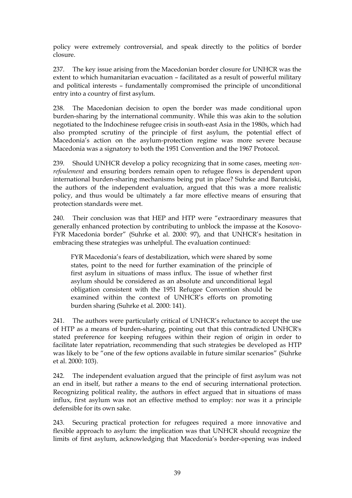policy were extremely controversial, and speak directly to the politics of border closure.

237. The key issue arising from the Macedonian border closure for UNHCR was the extent to which humanitarian evacuation – facilitated as a result of powerful military and political interests – fundamentally compromised the principle of unconditional entry into a country of first asylum.

238. The Macedonian decision to open the border was made conditional upon burden-sharing by the international community. While this was akin to the solution negotiated to the Indochinese refugee crisis in south-east Asia in the 1980s, which had also prompted scrutiny of the principle of first asylum, the potential effect of Macedonia's action on the asylum-protection regime was more severe because Macedonia was a signatory to both the 1951 Convention and the 1967 Protocol.

239. Should UNHCR develop a policy recognizing that in some cases, meeting *nonrefoulement* and ensuring borders remain open to refugee flows is dependent upon international burden-sharing mechanisms being put in place? Suhrke and Barutciski, the authors of the independent evaluation, argued that this was a more realistic policy, and thus would be ultimately a far more effective means of ensuring that protection standards were met.

240. Their conclusion was that HEP and HTP were "extraordinary measures that generally enhanced protection by contributing to unblock the impasse at the Kosovo-FYR Macedonia border" (Suhrke et al. 2000: 97), and that UNHCR"s hesitation in embracing these strategies was unhelpful. The evaluation continued:

FYR Macedonia's fears of destabilization, which were shared by some states, point to the need for further examination of the principle of first asylum in situations of mass influx. The issue of whether first asylum should be considered as an absolute and unconditional legal obligation consistent with the 1951 Refugee Convention should be examined within the context of UNHCR"s efforts on promoting burden sharing (Suhrke et al. 2000: 141).

241. The authors were particularly critical of UNHCR"s reluctance to accept the use of HTP as a means of burden-sharing, pointing out that this contradicted UNHCR's stated preference for keeping refugees within their region of origin in order to facilitate later repatriation, recommending that such strategies be developed as HTP was likely to be "one of the few options available in future similar scenarios" (Suhrke et al. 2000: 103).

242. The independent evaluation argued that the principle of first asylum was not an end in itself, but rather a means to the end of securing international protection. Recognizing political reality, the authors in effect argued that in situations of mass influx, first asylum was not an effective method to employ: nor was it a principle defensible for its own sake.

243. Securing practical protection for refugees required a more innovative and flexible approach to asylum: the implication was that UNHCR should recognize the limits of first asylum, acknowledging that Macedonia"s border-opening was indeed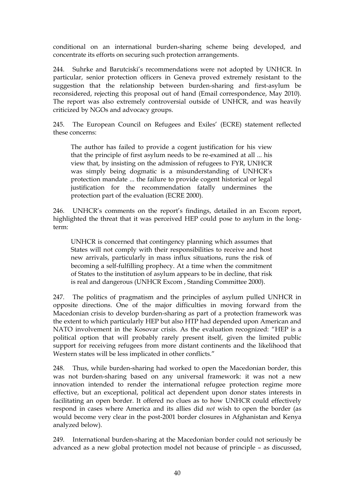conditional on an international burden-sharing scheme being developed, and concentrate its efforts on securing such protection arrangements.

244. Suhrke and Barutciski"s recommendations were not adopted by UNHCR. In particular, senior protection officers in Geneva proved extremely resistant to the suggestion that the relationship between burden-sharing and first-asylum be reconsidered, rejecting this proposal out of hand (Email correspondence, May 2010). The report was also extremely controversial outside of UNHCR, and was heavily criticized by NGOs and advocacy groups.

245. The European Council on Refugees and Exiles' (ECRE) statement reflected these concerns:

The author has failed to provide a cogent justification for his view that the principle of first asylum needs to be re-examined at all ... his view that, by insisting on the admission of refugees to FYR, UNHCR was simply being dogmatic is a misunderstanding of UNHCR"s protection mandate ... the failure to provide cogent historical or legal justification for the recommendation fatally undermines the protection part of the evaluation (ECRE 2000).

246. UNHCR's comments on the report's findings, detailed in an Excom report, highlighted the threat that it was perceived HEP could pose to asylum in the longterm:

UNHCR is concerned that contingency planning which assumes that States will not comply with their responsibilities to receive and host new arrivals, particularly in mass influx situations, runs the risk of becoming a self-fulfilling prophecy. At a time when the commitment of States to the institution of asylum appears to be in decline, that risk is real and dangerous (UNHCR Excom , Standing Committee 2000).

247. The politics of pragmatism and the principles of asylum pulled UNHCR in opposite directions. One of the major difficulties in moving forward from the Macedonian crisis to develop burden-sharing as part of a protection framework was the extent to which particularly HEP but also HTP had depended upon American and NATO involvement in the Kosovar crisis. As the evaluation recognized: "HEP is a political option that will probably rarely present itself, given the limited public support for receiving refugees from more distant continents and the likelihood that Western states will be less implicated in other conflicts."

248. Thus, while burden-sharing had worked to open the Macedonian border, this was not burden-sharing based on any universal framework: it was not a new innovation intended to render the international refugee protection regime more effective, but an exceptional, political act dependent upon donor states interests in facilitating an open border. It offered no clues as to how UNHCR could effectively respond in cases where America and its allies did *not* wish to open the border (as would become very clear in the post-2001 border closures in Afghanistan and Kenya analyzed below).

249. International burden-sharing at the Macedonian border could not seriously be advanced as a new global protection model not because of principle – as discussed,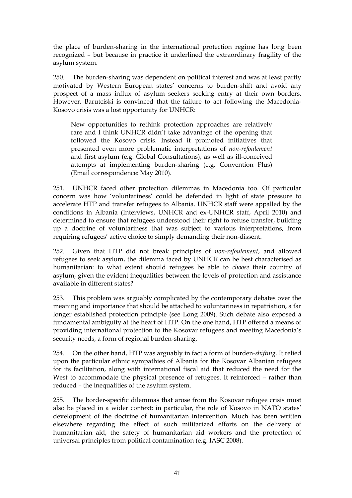the place of burden-sharing in the international protection regime has long been recognized – but because in practice it underlined the extraordinary fragility of the asylum system.

250. The burden-sharing was dependent on political interest and was at least partly motivated by Western European states" concerns to burden-shift and avoid any prospect of a mass influx of asylum seekers seeking entry at their own borders. However, Barutciski is convinced that the failure to act following the Macedonia-Kosovo crisis was a lost opportunity for UNHCR:

New opportunities to rethink protection approaches are relatively rare and I think UNHCR didn"t take advantage of the opening that followed the Kosovo crisis. Instead it promoted initiatives that presented even more problematic interpretations of *non-refoulement* and first asylum (e.g. Global Consultations), as well as ill-conceived attempts at implementing burden-sharing (e.g. Convention Plus) (Email correspondence: May 2010).

251. UNHCR faced other protection dilemmas in Macedonia too. Of particular concern was how "voluntariness" could be defended in light of state pressure to accelerate HTP and transfer refugees to Albania. UNHCR staff were appalled by the conditions in Albania (Interviews, UNHCR and ex-UNHCR staff, April 2010) and determined to ensure that refugees understood their right to refuse transfer, building up a doctrine of voluntariness that was subject to various interpretations, from requiring refugees" active choice to simply demanding their non-dissent.

252. Given that HTP did not break principles of *non-refoulement*, and allowed refugees to seek asylum, the dilemma faced by UNHCR can be best characterised as humanitarian: to what extent should refugees be able to *choose* their country of asylum, given the evident inequalities between the levels of protection and assistance available in different states?

253. This problem was arguably complicated by the contemporary debates over the meaning and importance that should be attached to voluntariness in repatriation, a far longer established protection principle (see Long 2009). Such debate also exposed a fundamental ambiguity at the heart of HTP. On the one hand, HTP offered a means of providing international protection to the Kosovar refugees and meeting Macedonia"s security needs, a form of regional burden-sharing.

254. On the other hand, HTP was arguably in fact a form of burden-*shifting*. It relied upon the particular ethnic sympathies of Albania for the Kosovar Albanian refugees for its facilitation, along with international fiscal aid that reduced the need for the West to accommodate the physical presence of refugees. It reinforced – rather than reduced – the inequalities of the asylum system.

255. The border-specific dilemmas that arose from the Kosovar refugee crisis must also be placed in a wider context: in particular, the role of Kosovo in NATO states" development of the doctrine of humanitarian intervention. Much has been written elsewhere regarding the effect of such militarized efforts on the delivery of humanitarian aid, the safety of humanitarian aid workers and the protection of universal principles from political contamination (e.g. IASC 2008).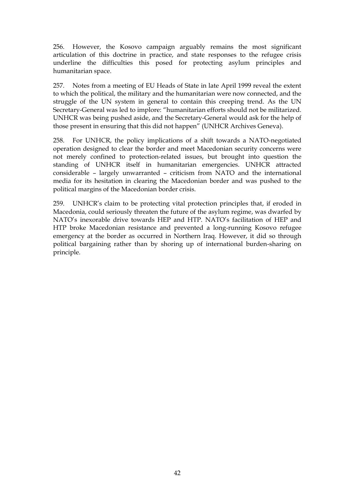256. However, the Kosovo campaign arguably remains the most significant articulation of this doctrine in practice, and state responses to the refugee crisis underline the difficulties this posed for protecting asylum principles and humanitarian space.

257. Notes from a meeting of EU Heads of State in late April 1999 reveal the extent to which the political, the military and the humanitarian were now connected, and the struggle of the UN system in general to contain this creeping trend. As the UN Secretary-General was led to implore: "humanitarian efforts should not be militarized. UNHCR was being pushed aside, and the Secretary-General would ask for the help of those present in ensuring that this did not happen" (UNHCR Archives Geneva).

258. For UNHCR, the policy implications of a shift towards a NATO-negotiated operation designed to clear the border and meet Macedonian security concerns were not merely confined to protection-related issues, but brought into question the standing of UNHCR itself in humanitarian emergencies. UNHCR attracted considerable – largely unwarranted – criticism from NATO and the international media for its hesitation in clearing the Macedonian border and was pushed to the political margins of the Macedonian border crisis.

259. UNHCR"s claim to be protecting vital protection principles that, if eroded in Macedonia, could seriously threaten the future of the asylum regime, was dwarfed by NATO"s inexorable drive towards HEP and HTP. NATO"s facilitation of HEP and HTP broke Macedonian resistance and prevented a long-running Kosovo refugee emergency at the border as occurred in Northern Iraq. However, it did so through political bargaining rather than by shoring up of international burden-sharing on principle.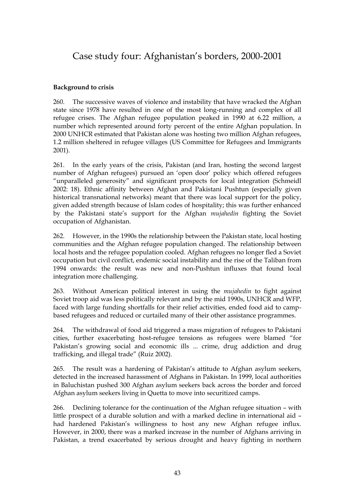# Case study four: Afghanistan's borders, 2000-2001

## **Background to crisis**

260. The successive waves of violence and instability that have wracked the Afghan state since 1978 have resulted in one of the most long-running and complex of all refugee crises. The Afghan refugee population peaked in 1990 at 6.22 million, a number which represented around forty percent of the entire Afghan population. In 2000 UNHCR estimated that Pakistan alone was hosting two million Afghan refugees, 1.2 million sheltered in refugee villages (US Committee for Refugees and Immigrants 2001).

261. In the early years of the crisis, Pakistan (and Iran, hosting the second largest number of Afghan refugees) pursued an "open door" policy which offered refugees "unparalleled generosity" and significant prospects for local integration (Schmeidl 2002: 18). Ethnic affinity between Afghan and Pakistani Pushtun (especially given historical transnational networks) meant that there was local support for the policy, given added strength because of Islam codes of hospitality; this was further enhanced by the Pakistani state"s support for the Afghan *mujahedin* fighting the Soviet occupation of Afghanistan.

262. However, in the 1990s the relationship between the Pakistan state, local hosting communities and the Afghan refugee population changed. The relationship between local hosts and the refugee population cooled. Afghan refugees no longer fled a Soviet occupation but civil conflict, endemic social instability and the rise of the Taliban from 1994 onwards: the result was new and non-Pushtun influxes that found local integration more challenging.

263. Without American political interest in using the *mujahedin* to fight against Soviet troop aid was less politically relevant and by the mid 1990s, UNHCR and WFP, faced with large funding shortfalls for their relief activities, ended food aid to campbased refugees and reduced or curtailed many of their other assistance programmes.

264. The withdrawal of food aid triggered a mass migration of refugees to Pakistani cities, further exacerbating host-refugee tensions as refugees were blamed "for Pakistan's growing social and economic ills ... crime, drug addiction and drug trafficking, and illegal trade" (Ruiz 2002).

265. The result was a hardening of Pakistan's attitude to Afghan asylum seekers, detected in the increased harassment of Afghans in Pakistan. In 1999, local authorities in Baluchistan pushed 300 Afghan asylum seekers back across the border and forced Afghan asylum seekers living in Quetta to move into securitized camps.

266. Declining tolerance for the continuation of the Afghan refugee situation – with little prospect of a durable solution and with a marked decline in international aid – had hardened Pakistan's willingness to host any new Afghan refugee influx. However, in 2000, there was a marked increase in the number of Afghans arriving in Pakistan, a trend exacerbated by serious drought and heavy fighting in northern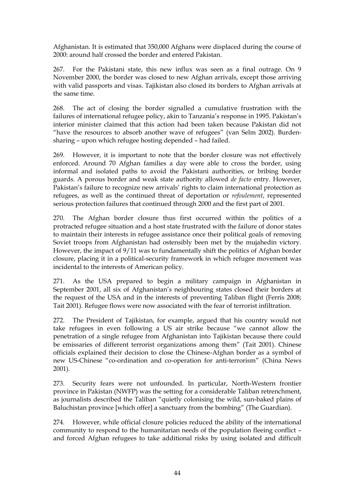Afghanistan. It is estimated that 350,000 Afghans were displaced during the course of 2000: around half crossed the border and entered Pakistan.

267. For the Pakistani state, this new influx was seen as a final outrage. On 9 November 2000, the border was closed to new Afghan arrivals, except those arriving with valid passports and visas. Tajikistan also closed its borders to Afghan arrivals at the same time.

268. The act of closing the border signalled a cumulative frustration with the failures of international refugee policy, akin to Tanzania's response in 1995. Pakistan's interior minister claimed that this action had been taken because Pakistan did not "have the resources to absorb another wave of refugees" (van Selm 2002). Burdensharing – upon which refugee hosting depended – had failed.

269. However, it is important to note that the border closure was not effectively enforced. Around 70 Afghan families a day were able to cross the border, using informal and isolated paths to avoid the Pakistani authorities, or bribing border guards. A porous border and weak state authority allowed *de facto* entry. However, Pakistan's failure to recognize new arrivals' rights to claim international protection as refugees, as well as the continued threat of deportation or *refoulement*, represented serious protection failures that continued through 2000 and the first part of 2001.

270. The Afghan border closure thus first occurred within the politics of a protracted refugee situation and a host state frustrated with the failure of donor states to maintain their interests in refugee assistance once their political goals of removing Soviet troops from Afghanistan had ostensibly been met by the mujahedin victory. However, the impact of 9/11 was to fundamentally shift the politics of Afghan border closure, placing it in a political-security framework in which refugee movement was incidental to the interests of American policy.

271. As the USA prepared to begin a military campaign in Afghanistan in September 2001, all six of Afghanistan's neighbouring states closed their borders at the request of the USA and in the interests of preventing Taliban flight (Ferris 2008; Tait 2001). Refugee flows were now associated with the fear of terrorist infiltration.

272. The President of Tajikistan, for example, argued that his country would not take refugees in even following a US air strike because "we cannot allow the penetration of a single refugee from Afghanistan into Tajikistan because there could be emissaries of different terrorist organizations among them" (Tait 2001). Chinese officials explained their decision to close the Chinese-Afghan border as a symbol of new US-Chinese "co-ordination and co-operation for anti-terrorism" (China News 2001).

273. Security fears were not unfounded. In particular, North-Western frontier province in Pakistan (NWFP) was the setting for a considerable Taliban retrenchment, as journalists described the Taliban "quietly colonising the wild, sun-baked plains of Baluchistan province [which offer] a sanctuary from the bombing" (The Guardian).

274. However, while official closure policies reduced the ability of the international community to respond to the humanitarian needs of the population fleeing conflict – and forced Afghan refugees to take additional risks by using isolated and difficult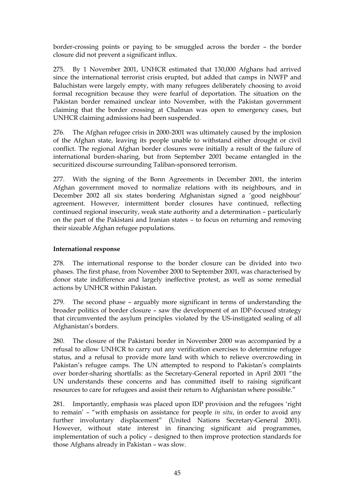border-crossing points or paying to be smuggled across the border – the border closure did not prevent a significant influx.

275. By 1 November 2001, UNHCR estimated that 130,000 Afghans had arrived since the international terrorist crisis erupted, but added that camps in NWFP and Baluchistan were largely empty, with many refugees deliberately choosing to avoid formal recognition because they were fearful of deportation. The situation on the Pakistan border remained unclear into November, with the Pakistan government claiming that the border crossing at Chalman was open to emergency cases, but UNHCR claiming admissions had been suspended.

276. The Afghan refugee crisis in 2000-2001 was ultimately caused by the implosion of the Afghan state, leaving its people unable to withstand either drought or civil conflict. The regional Afghan border closures were initially a result of the failure of international burden-sharing, but from September 2001 became entangled in the securitized discourse surrounding Taliban-sponsored terrorism.

277. With the signing of the Bonn Agreements in December 2001, the interim Afghan government moved to normalize relations with its neighbours, and in December 2002 all six states bordering Afghanistan signed a "good neighbour" agreement. However, intermittent border closures have continued, reflecting continued regional insecurity, weak state authority and a determination – particularly on the part of the Pakistani and Iranian states – to focus on returning and removing their sizeable Afghan refugee populations.

## **International response**

278. The international response to the border closure can be divided into two phases. The first phase, from November 2000 to September 2001, was characterised by donor state indifference and largely ineffective protest, as well as some remedial actions by UNHCR within Pakistan.

279. The second phase – arguably more significant in terms of understanding the broader politics of border closure – saw the development of an IDP-focused strategy that circumvented the asylum principles violated by the US-instigated sealing of all Afghanistan"s borders.

280. The closure of the Pakistani border in November 2000 was accompanied by a refusal to allow UNHCR to carry out any verification exercises to determine refugee status, and a refusal to provide more land with which to relieve overcrowding in Pakistan's refugee camps. The UN attempted to respond to Pakistan's complaints over border-sharing shortfalls: as the Secretary-General reported in April 2001 "the UN understands these concerns and has committed itself to raising significant resources to care for refugees and assist their return to Afghanistan where possible."

281. Importantly, emphasis was placed upon IDP provision and the refugees "right to remain" – "with emphasis on assistance for people *in situ*, in order to avoid any further involuntary displacement" (United Nations Secretary-General 2001). However, without state interest in financing significant aid programmes, implementation of such a policy – designed to then improve protection standards for those Afghans already in Pakistan – was slow.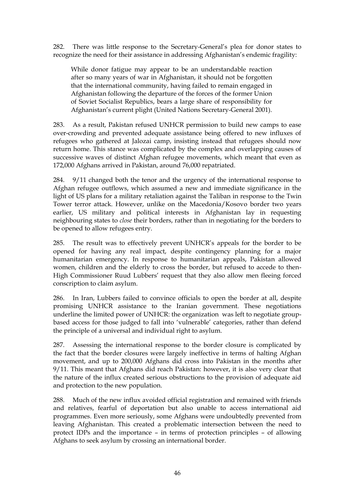282. There was little response to the Secretary-General"s plea for donor states to recognize the need for their assistance in addressing Afghanistan's endemic fragility:

While donor fatigue may appear to be an understandable reaction after so many years of war in Afghanistan, it should not be forgotten that the international community, having failed to remain engaged in Afghanistan following the departure of the forces of the former Union of Soviet Socialist Republics, bears a large share of responsibility for Afghanistan"s current plight (United Nations Secretary-General 2001).

283. As a result, Pakistan refused UNHCR permission to build new camps to ease over-crowding and prevented adequate assistance being offered to new influxes of refugees who gathered at Jalozai camp, insisting instead that refugees should now return home. This stance was complicated by the complex and overlapping causes of successive waves of distinct Afghan refugee movements, which meant that even as 172,000 Afghans arrived in Pakistan, around 76,000 repatriated.

284. 9/11 changed both the tenor and the urgency of the international response to Afghan refugee outflows, which assumed a new and immediate significance in the light of US plans for a military retaliation against the Taliban in response to the Twin Tower terror attack. However, unlike on the Macedonia/Kosovo border two years earlier, US military and political interests in Afghanistan lay in requesting neighbouring states to *close* their borders, rather than in negotiating for the borders to be opened to allow refugees entry.

285. The result was to effectively prevent UNHCR"s appeals for the border to be opened for having any real impact, despite contingency planning for a major humanitarian emergency. In response to humanitarian appeals, Pakistan allowed women, children and the elderly to cross the border, but refused to accede to then-High Commissioner Ruud Lubbers' request that they also allow men fleeing forced conscription to claim asylum.

286. In Iran, Lubbers failed to convince officials to open the border at all, despite promising UNHCR assistance to the Iranian government. These negotiations underline the limited power of UNHCR: the organization was left to negotiate groupbased access for those judged to fall into "vulnerable" categories, rather than defend the principle of a universal and individual right to asylum.

287. Assessing the international response to the border closure is complicated by the fact that the border closures were largely ineffective in terms of halting Afghan movement, and up to 200,000 Afghans did cross into Pakistan in the months after 9/11. This meant that Afghans did reach Pakistan: however, it is also very clear that the nature of the influx created serious obstructions to the provision of adequate aid and protection to the new population.

288. Much of the new influx avoided official registration and remained with friends and relatives, fearful of deportation but also unable to access international aid programmes. Even more seriously, some Afghans were undoubtedly prevented from leaving Afghanistan. This created a problematic intersection between the need to protect IDPs and the importance – in terms of protection principles – of allowing Afghans to seek asylum by crossing an international border.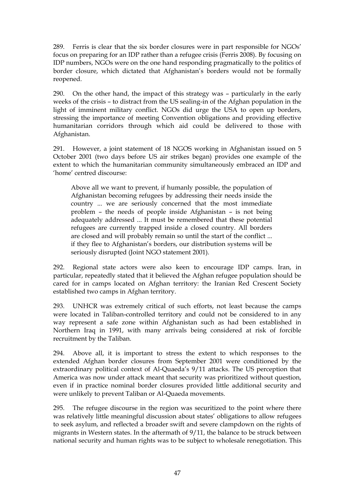289. Ferris is clear that the six border closures were in part responsible for NGOs" focus on preparing for an IDP rather than a refugee crisis (Ferris 2008). By focusing on IDP numbers, NGOs were on the one hand responding pragmatically to the politics of border closure, which dictated that Afghanistan"s borders would not be formally reopened.

290. On the other hand, the impact of this strategy was – particularly in the early weeks of the crisis – to distract from the US sealing-in of the Afghan population in the light of imminent military conflict. NGOs did urge the USA to open up borders, stressing the importance of meeting Convention obligations and providing effective humanitarian corridors through which aid could be delivered to those with Afghanistan.

291. However, a joint statement of 18 NGOS working in Afghanistan issued on 5 October 2001 (two days before US air strikes began) provides one example of the extent to which the humanitarian community simultaneously embraced an IDP and "home" centred discourse:

Above all we want to prevent, if humanly possible, the population of Afghanistan becoming refugees by addressing their needs inside the country ... we are seriously concerned that the most immediate problem – the needs of people inside Afghanistan – is not being adequately addressed ... It must be remembered that these potential refugees are currently trapped inside a closed country. All borders are closed and will probably remain so until the start of the conflict ... if they flee to Afghanistan's borders, our distribution systems will be seriously disrupted (Joint NGO statement 2001).

292. Regional state actors were also keen to encourage IDP camps. Iran, in particular, repeatedly stated that it believed the Afghan refugee population should be cared for in camps located on Afghan territory: the Iranian Red Crescent Society established two camps in Afghan territory.

293. UNHCR was extremely critical of such efforts, not least because the camps were located in Taliban-controlled territory and could not be considered to in any way represent a safe zone within Afghanistan such as had been established in Northern Iraq in 1991, with many arrivals being considered at risk of forcible recruitment by the Taliban.

294. Above all, it is important to stress the extent to which responses to the extended Afghan border closures from September 2001 were conditioned by the extraordinary political context of Al-Quaeda"s 9/11 attacks. The US perception that America was now under attack meant that security was prioritized without question, even if in practice nominal border closures provided little additional security and were unlikely to prevent Taliban or Al-Quaeda movements.

295. The refugee discourse in the region was securitized to the point where there was relatively little meaningful discussion about states' obligations to allow refugees to seek asylum, and reflected a broader swift and severe clampdown on the rights of migrants in Western states. In the aftermath of 9/11, the balance to be struck between national security and human rights was to be subject to wholesale renegotiation. This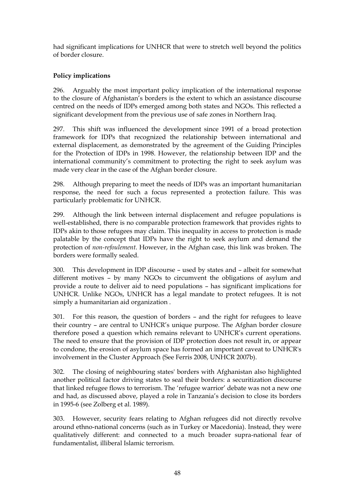had significant implications for UNHCR that were to stretch well beyond the politics of border closure.

# **Policy implications**

296. Arguably the most important policy implication of the international response to the closure of Afghanistan"s borders is the extent to which an assistance discourse centred on the needs of IDPs emerged among both states and NGOs. This reflected a significant development from the previous use of safe zones in Northern Iraq.

297. This shift was influenced the development since 1991 of a broad protection framework for IDPs that recognized the relationship between international and external displacement, as demonstrated by the agreement of the Guiding Principles for the Protection of IDPs in 1998. However, the relationship between IDP and the international community's commitment to protecting the right to seek asylum was made very clear in the case of the Afghan border closure.

298. Although preparing to meet the needs of IDPs was an important humanitarian response, the need for such a focus represented a protection failure. This was particularly problematic for UNHCR.

299. Although the link between internal displacement and refugee populations is well-established, there is no comparable protection framework that provides rights to IDPs akin to those refugees may claim. This inequality in access to protection is made palatable by the concept that IDPs have the right to seek asylum and demand the protection of *non-refoulement*. However, in the Afghan case, this link was broken. The borders were formally sealed.

300. This development in IDP discourse – used by states and – albeit for somewhat different motives – by many NGOs to circumvent the obligations of asylum and provide a route to deliver aid to need populations – has significant implications for UNHCR. Unlike NGOs, UNHCR has a legal mandate to protect refugees. It is not simply a humanitarian aid organization .

301. For this reason, the question of borders – and the right for refugees to leave their country – are central to UNHCR"s unique purpose. The Afghan border closure therefore posed a question which remains relevant to UNHCR"s current operations. The need to ensure that the provision of IDP protection does not result in, or appear to condone, the erosion of asylum space has formed an important caveat to UNHCR's involvement in the Cluster Approach (See Ferris 2008, UNHCR 2007b).

302. The closing of neighbouring states' borders with Afghanistan also highlighted another political factor driving states to seal their borders: a securitization discourse that linked refugee flows to terrorism. The "refugee warrior" debate was not a new one and had, as discussed above, played a role in Tanzania"s decision to close its borders in 1995-6 (see Zolberg et al. 1989).

303. However, security fears relating to Afghan refugees did not directly revolve around ethno-national concerns (such as in Turkey or Macedonia). Instead, they were qualitatively different: and connected to a much broader supra-national fear of fundamentalist, illiberal Islamic terrorism.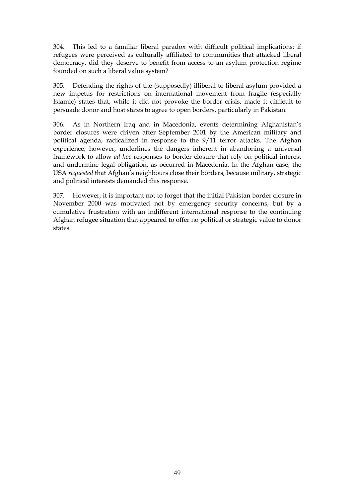304. This led to a familiar liberal paradox with difficult political implications: if refugees were perceived as culturally affiliated to communities that attacked liberal democracy, did they deserve to benefit from access to an asylum protection regime founded on such a liberal value system?

305. Defending the rights of the (supposedly) illiberal to liberal asylum provided a new impetus for restrictions on international movement from fragile (especially Islamic) states that, while it did not provoke the border crisis, made it difficult to persuade donor and host states to agree to open borders, particularly in Pakistan.

306. As in Northern Iraq and in Macedonia, events determining Afghanistan"s border closures were driven after September 2001 by the American military and political agenda, radicalized in response to the 9/11 terror attacks. The Afghan experience, however, underlines the dangers inherent in abandoning a universal framework to allow *ad hoc* responses to border closure that rely on political interest and undermine legal obligation, as occurred in Macedonia. In the Afghan case, the USA *requested* that Afghan"s neighbours close their borders, because military, strategic and political interests demanded this response.

307. However, it is important not to forget that the initial Pakistan border closure in November 2000 was motivated not by emergency security concerns, but by a cumulative frustration with an indifferent international response to the continuing Afghan refugee situation that appeared to offer no political or strategic value to donor states.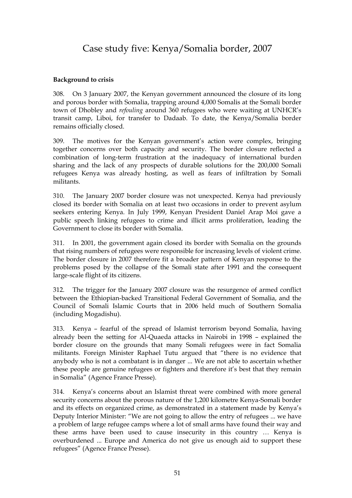# Case study five: Kenya/Somalia border, 2007

### **Background to crisis**

308. On 3 January 2007, the Kenyan government announced the closure of its long and porous border with Somalia, trapping around 4,000 Somalis at the Somali border town of Dhobley and *refouling* around 360 refugees who were waiting at UNHCR"s transit camp, Liboi, for transfer to Dadaab. To date, the Kenya/Somalia border remains officially closed.

309. The motives for the Kenyan government"s action were complex, bringing together concerns over both capacity and security. The border closure reflected a combination of long-term frustration at the inadequacy of international burden sharing and the lack of any prospects of durable solutions for the 200,000 Somali refugees Kenya was already hosting, as well as fears of infiltration by Somali militants.

310. The January 2007 border closure was not unexpected. Kenya had previously closed its border with Somalia on at least two occasions in order to prevent asylum seekers entering Kenya. In July 1999, Kenyan President Daniel Arap Moi gave a public speech linking refugees to crime and illicit arms proliferation, leading the Government to close its border with Somalia.

311. In 2001, the government again closed its border with Somalia on the grounds that rising numbers of refugees were responsible for increasing levels of violent crime. The border closure in 2007 therefore fit a broader pattern of Kenyan response to the problems posed by the collapse of the Somali state after 1991 and the consequent large-scale flight of its citizens.

312. The trigger for the January 2007 closure was the resurgence of armed conflict between the Ethiopian-backed Transitional Federal Government of Somalia, and the Council of Somali Islamic Courts that in 2006 held much of Southern Somalia (including Mogadishu).

313. Kenya – fearful of the spread of Islamist terrorism beyond Somalia, having already been the setting for Al-Quaeda attacks in Nairobi in 1998 – explained the border closure on the grounds that many Somali refugees were in fact Somalia militants. Foreign Minister Raphael Tutu argued that "there is no evidence that anybody who is not a combatant is in danger ... We are not able to ascertain whether these people are genuine refugees or fighters and therefore it's best that they remain in Somalia" (Agence France Presse).

314. Kenya"s concerns about an Islamist threat were combined with more general security concerns about the porous nature of the 1,200 kilometre Kenya-Somali border and its effects on organized crime, as demonstrated in a statement made by Kenya"s Deputy Interior Minister: "We are not going to allow the entry of refugees ... we have a problem of large refugee camps where a lot of small arms have found their way and these arms have been used to cause insecurity in this country … Kenya is overburdened ... Europe and America do not give us enough aid to support these refugees" (Agence France Presse).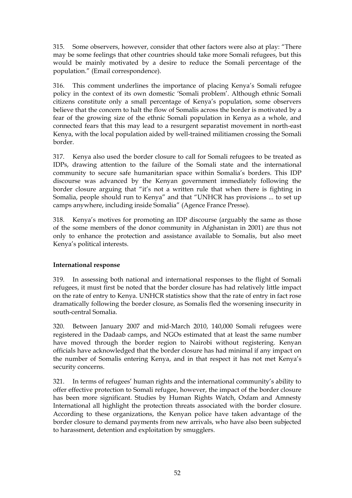315. Some observers, however, consider that other factors were also at play: "There may be some feelings that other countries should take more Somali refugees, but this would be mainly motivated by a desire to reduce the Somali percentage of the population." (Email correspondence).

316. This comment underlines the importance of placing Kenya"s Somali refugee policy in the context of its own domestic "Somali problem". Although ethnic Somali citizens constitute only a small percentage of Kenya"s population, some observers believe that the concern to halt the flow of Somalis across the border is motivated by a fear of the growing size of the ethnic Somali population in Kenya as a whole, and connected fears that this may lead to a resurgent separatist movement in north-east Kenya, with the local population aided by well-trained militiamen crossing the Somali border.

317. Kenya also used the border closure to call for Somali refugees to be treated as IDPs, drawing attention to the failure of the Somali state and the international community to secure safe humanitarian space within Somalia"s borders. This IDP discourse was advanced by the Kenyan government immediately following the border closure arguing that "it"s not a written rule that when there is fighting in Somalia, people should run to Kenya" and that "UNHCR has provisions ... to set up camps anywhere, including inside Somalia" (Agence France Presse).

318. Kenya"s motives for promoting an IDP discourse (arguably the same as those of the some members of the donor community in Afghanistan in 2001) are thus not only to enhance the protection and assistance available to Somalis, but also meet Kenya"s political interests.

#### **International response**

319. In assessing both national and international responses to the flight of Somali refugees, it must first be noted that the border closure has had relatively little impact on the rate of entry to Kenya. UNHCR statistics show that the rate of entry in fact rose dramatically following the border closure, as Somalis fled the worsening insecurity in south-central Somalia.

320. Between January 2007 and mid-March 2010, 140,000 Somali refugees were registered in the Dadaab camps, and NGOs estimated that at least the same number have moved through the border region to Nairobi without registering. Kenyan officials have acknowledged that the border closure has had minimal if any impact on the number of Somalis entering Kenya, and in that respect it has not met Kenya"s security concerns.

321. In terms of refugees" human rights and the international community"s ability to offer effective protection to Somali refugee, however, the impact of the border closure has been more significant. Studies by Human Rights Watch, Oxfam and Amnesty International all highlight the protection threats associated with the border closure. According to these organizations, the Kenyan police have taken advantage of the border closure to demand payments from new arrivals, who have also been subjected to harassment, detention and exploitation by smugglers.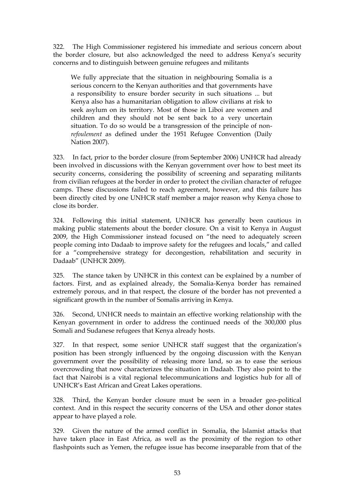322. The High Commissioner registered his immediate and serious concern about the border closure, but also acknowledged the need to address Kenya"s security concerns and to distinguish between genuine refugees and militants

We fully appreciate that the situation in neighbouring Somalia is a serious concern to the Kenyan authorities and that governments have a responsibility to ensure border security in such situations ... but Kenya also has a humanitarian obligation to allow civilians at risk to seek asylum on its territory. Most of those in Liboi are women and children and they should not be sent back to a very uncertain situation. To do so would be a transgression of the principle of non*refoulement* as defined under the 1951 Refugee Convention (Daily Nation 2007).

323. In fact, prior to the border closure (from September 2006) UNHCR had already been involved in discussions with the Kenyan government over how to best meet its security concerns, considering the possibility of screening and separating militants from civilian refugees at the border in order to protect the civilian character of refugee camps. These discussions failed to reach agreement, however, and this failure has been directly cited by one UNHCR staff member a major reason why Kenya chose to close its border.

324. Following this initial statement, UNHCR has generally been cautious in making public statements about the border closure. On a visit to Kenya in August 2009, the High Commissioner instead focused on "the need to adequately screen people coming into Dadaab to improve safety for the refugees and locals," and called for a "comprehensive strategy for decongestion, rehabilitation and security in Dadaab" (UNHCR 2009).

325. The stance taken by UNHCR in this context can be explained by a number of factors. First, and as explained already, the Somalia-Kenya border has remained extremely porous, and in that respect, the closure of the border has not prevented a significant growth in the number of Somalis arriving in Kenya.

326. Second, UNHCR needs to maintain an effective working relationship with the Kenyan government in order to address the continued needs of the 300,000 plus Somali and Sudanese refugees that Kenya already hosts.

327. In that respect, some senior UNHCR staff suggest that the organization"s position has been strongly influenced by the ongoing discussion with the Kenyan government over the possibility of releasing more land, so as to ease the serious overcrowding that now characterizes the situation in Dadaab. They also point to the fact that Nairobi is a vital regional telecommunications and logistics hub for all of UNHCR"s East African and Great Lakes operations.

328. Third, the Kenyan border closure must be seen in a broader geo-political context. And in this respect the security concerns of the USA and other donor states appear to have played a role.

329. Given the nature of the armed conflict in Somalia, the Islamist attacks that have taken place in East Africa, as well as the proximity of the region to other flashpoints such as Yemen, the refugee issue has become inseparable from that of the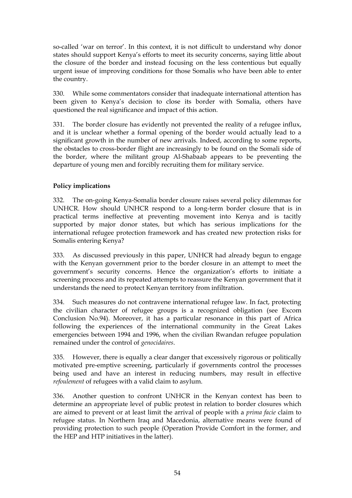so-called "war on terror". In this context, it is not difficult to understand why donor states should support Kenya"s efforts to meet its security concerns, saying little about the closure of the border and instead focusing on the less contentious but equally urgent issue of improving conditions for those Somalis who have been able to enter the country.

330. While some commentators consider that inadequate international attention has been given to Kenya"s decision to close its border with Somalia, others have questioned the real significance and impact of this action.

331. The border closure has evidently not prevented the reality of a refugee influx, and it is unclear whether a formal opening of the border would actually lead to a significant growth in the number of new arrivals. Indeed, according to some reports, the obstacles to cross-border flight are increasingly to be found on the Somali side of the border, where the militant group Al-Shabaab appears to be preventing the departure of young men and forcibly recruiting them for military service.

## **Policy implications**

332. The on-going Kenya-Somalia border closure raises several policy dilemmas for UNHCR. How should UNHCR respond to a long-term border closure that is in practical terms ineffective at preventing movement into Kenya and is tacitly supported by major donor states, but which has serious implications for the international refugee protection framework and has created new protection risks for Somalis entering Kenya?

333. As discussed previously in this paper, UNHCR had already begun to engage with the Kenyan government prior to the border closure in an attempt to meet the government"s security concerns. Hence the organization"s efforts to initiate a screening process and its repeated attempts to reassure the Kenyan government that it understands the need to protect Kenyan territory from infiltration.

334. Such measures do not contravene international refugee law. In fact, protecting the civilian character of refugee groups is a recognized obligation (see Excom Conclusion No.94). Moreover, it has a particular resonance in this part of Africa following the experiences of the international community in the Great Lakes emergencies between 1994 and 1996, when the civilian Rwandan refugee population remained under the control of *genocidaires*.

335. However, there is equally a clear danger that excessively rigorous or politically motivated pre-emptive screening, particularly if governments control the processes being used and have an interest in reducing numbers, may result in effective *refoulement* of refugees with a valid claim to asylum.

336. Another question to confront UNHCR in the Kenyan context has been to determine an appropriate level of public protest in relation to border closures which are aimed to prevent or at least limit the arrival of people with a *prima facie* claim to refugee status. In Northern Iraq and Macedonia, alternative means were found of providing protection to such people (Operation Provide Comfort in the former, and the HEP and HTP initiatives in the latter).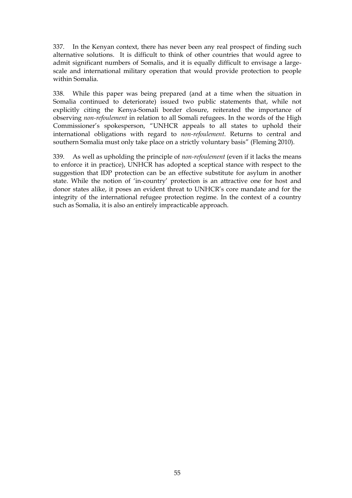337. In the Kenyan context, there has never been any real prospect of finding such alternative solutions. It is difficult to think of other countries that would agree to admit significant numbers of Somalis, and it is equally difficult to envisage a largescale and international military operation that would provide protection to people within Somalia.

338. While this paper was being prepared (and at a time when the situation in Somalia continued to deteriorate) issued two public statements that, while not explicitly citing the Kenya-Somali border closure, reiterated the importance of observing *non-refoulement* in relation to all Somali refugees. In the words of the High Commissioner"s spokesperson, "UNHCR appeals to all states to uphold their international obligations with regard to *non-refoulement*. Returns to central and southern Somalia must only take place on a strictly voluntary basis" (Fleming 2010).

339. As well as upholding the principle of *non-refoulement* (even if it lacks the means to enforce it in practice), UNHCR has adopted a sceptical stance with respect to the suggestion that IDP protection can be an effective substitute for asylum in another state. While the notion of "in-country" protection is an attractive one for host and donor states alike, it poses an evident threat to UNHCR"s core mandate and for the integrity of the international refugee protection regime. In the context of a country such as Somalia, it is also an entirely impracticable approach.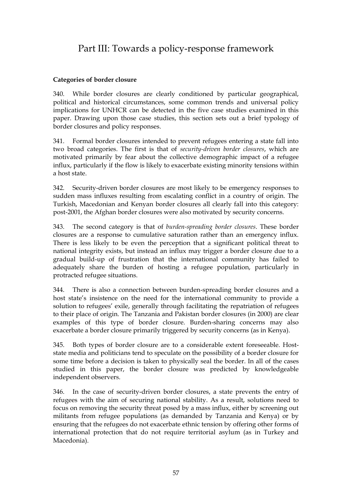# Part III: Towards a policy-response framework

## **Categories of border closure**

340. While border closures are clearly conditioned by particular geographical, political and historical circumstances, some common trends and universal policy implications for UNHCR can be detected in the five case studies examined in this paper. Drawing upon those case studies, this section sets out a brief typology of border closures and policy responses.

341. Formal border closures intended to prevent refugees entering a state fall into two broad categories. The first is that of *security-driven border closures*, which are motivated primarily by fear about the collective demographic impact of a refugee influx, particularly if the flow is likely to exacerbate existing minority tensions within a host state.

342. Security-driven border closures are most likely to be emergency responses to sudden mass influxes resulting from escalating conflict in a country of origin. The Turkish, Macedonian and Kenyan border closures all clearly fall into this category: post-2001, the Afghan border closures were also motivated by security concerns.

343. The second category is that of *burden-spreading border closures*. These border closures are a response to cumulative saturation rather than an emergency influx. There is less likely to be even the perception that a significant political threat to national integrity exists, but instead an influx may trigger a border closure due to a gradual build-up of frustration that the international community has failed to adequately share the burden of hosting a refugee population, particularly in protracted refugee situations.

344. There is also a connection between burden-spreading border closures and a host state's insistence on the need for the international community to provide a solution to refugees' exile, generally through facilitating the repatriation of refugees to their place of origin. The Tanzania and Pakistan border closures (in 2000) are clear examples of this type of border closure. Burden-sharing concerns may also exacerbate a border closure primarily triggered by security concerns (as in Kenya).

345. Both types of border closure are to a considerable extent foreseeable. Hoststate media and politicians tend to speculate on the possibility of a border closure for some time before a decision is taken to physically seal the border. In all of the cases studied in this paper, the border closure was predicted by knowledgeable independent observers.

346. In the case of security-driven border closures, a state prevents the entry of refugees with the aim of securing national stability. As a result, solutions need to focus on removing the security threat posed by a mass influx, either by screening out militants from refugee populations (as demanded by Tanzania and Kenya) or by ensuring that the refugees do not exacerbate ethnic tension by offering other forms of international protection that do not require territorial asylum (as in Turkey and Macedonia).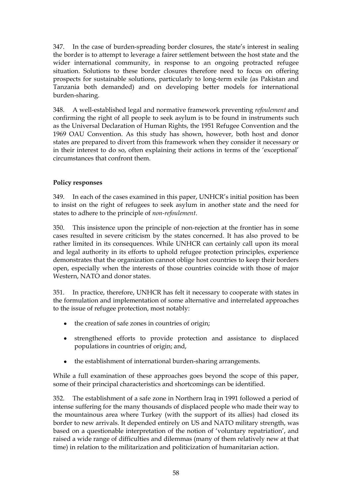347. In the case of burden-spreading border closures, the state's interest in sealing the border is to attempt to leverage a fairer settlement between the host state and the wider international community, in response to an ongoing protracted refugee situation. Solutions to these border closures therefore need to focus on offering prospects for sustainable solutions, particularly to long-term exile (as Pakistan and Tanzania both demanded) and on developing better models for international burden-sharing.

348. A well-established legal and normative framework preventing *refoulement* and confirming the right of all people to seek asylum is to be found in instruments such as the Universal Declaration of Human Rights, the 1951 Refugee Convention and the 1969 OAU Convention. As this study has shown, however, both host and donor states are prepared to divert from this framework when they consider it necessary or in their interest to do so, often explaining their actions in terms of the "exceptional" circumstances that confront them.

# **Policy responses**

349. In each of the cases examined in this paper, UNHCR"s initial position has been to insist on the right of refugees to seek asylum in another state and the need for states to adhere to the principle of *non-refoulement*.

350. This insistence upon the principle of non-rejection at the frontier has in some cases resulted in severe criticism by the states concerned. It has also proved to be rather limited in its consequences. While UNHCR can certainly call upon its moral and legal authority in its efforts to uphold refugee protection principles, experience demonstrates that the organization cannot oblige host countries to keep their borders open, especially when the interests of those countries coincide with those of major Western, NATO and donor states.

351. In practice, therefore, UNHCR has felt it necessary to cooperate with states in the formulation and implementation of some alternative and interrelated approaches to the issue of refugee protection, most notably:

- the creation of safe zones in countries of origin;
- strengthened efforts to provide protection and assistance to displaced populations in countries of origin; and,
- $\bullet$ the establishment of international burden-sharing arrangements.

While a full examination of these approaches goes beyond the scope of this paper, some of their principal characteristics and shortcomings can be identified.

352. The establishment of a safe zone in Northern Iraq in 1991 followed a period of intense suffering for the many thousands of displaced people who made their way to the mountainous area where Turkey (with the support of its allies) had closed its border to new arrivals. It depended entirely on US and NATO military strength, was based on a questionable interpretation of the notion of "voluntary repatriation", and raised a wide range of difficulties and dilemmas (many of them relatively new at that time) in relation to the militarization and politicization of humanitarian action.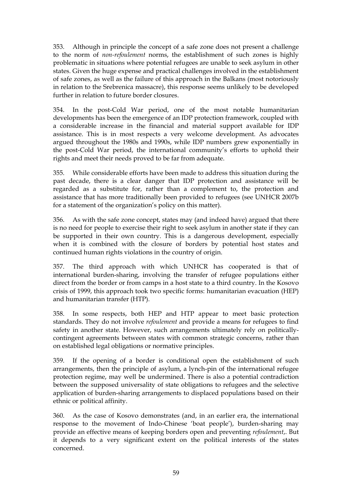353. Although in principle the concept of a safe zone does not present a challenge to the norm of *non-refoulement* norms, the establishment of such zones is highly problematic in situations where potential refugees are unable to seek asylum in other states. Given the huge expense and practical challenges involved in the establishment of safe zones, as well as the failure of this approach in the Balkans (most notoriously in relation to the Srebrenica massacre), this response seems unlikely to be developed further in relation to future border closures.

354. In the post-Cold War period, one of the most notable humanitarian developments has been the emergence of an IDP protection framework, coupled with a considerable increase in the financial and material support available for IDP assistance. This is in most respects a very welcome development. As advocates argued throughout the 1980s and 1990s, while IDP numbers grew exponentially in the post-Cold War period, the international community's efforts to uphold their rights and meet their needs proved to be far from adequate.

355. While considerable efforts have been made to address this situation during the past decade, there is a clear danger that IDP protection and assistance will be regarded as a substitute for, rather than a complement to, the protection and assistance that has more traditionally been provided to refugees (see UNHCR 2007b for a statement of the organization's policy on this matter).

356. As with the safe zone concept, states may (and indeed have) argued that there is no need for people to exercise their right to seek asylum in another state if they can be supported in their own country. This is a dangerous development, especially when it is combined with the closure of borders by potential host states and continued human rights violations in the country of origin.

357. The third approach with which UNHCR has cooperated is that of international burden-sharing, involving the transfer of refugee populations either direct from the border or from camps in a host state to a third country. In the Kosovo crisis of 1999, this approach took two specific forms: humanitarian evacuation (HEP) and humanitarian transfer (HTP).

358. In some respects, both HEP and HTP appear to meet basic protection standards. They do not involve *refoulement* and provide a means for refugees to find safety in another state. However, such arrangements ultimately rely on politicallycontingent agreements between states with common strategic concerns, rather than on established legal obligations or normative principles.

359. If the opening of a border is conditional open the establishment of such arrangements, then the principle of asylum, a lynch-pin of the international refugee protection regime, may well be undermined. There is also a potential contradiction between the supposed universality of state obligations to refugees and the selective application of burden-sharing arrangements to displaced populations based on their ethnic or political affinity.

360. As the case of Kosovo demonstrates (and, in an earlier era, the international response to the movement of Indo-Chinese "boat people"), burden-sharing may provide an effective means of keeping borders open and preventing *refoulement*,. But it depends to a very significant extent on the political interests of the states concerned.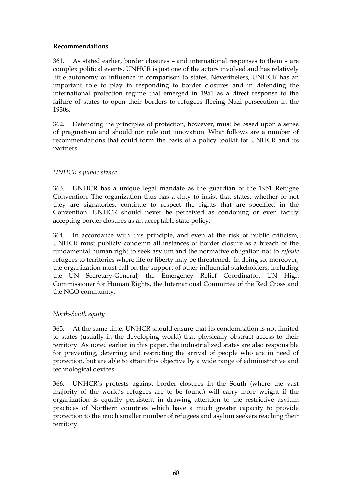### **Recommendations**

361. As stated earlier, border closures – and international responses to them – are complex political events. UNHCR is just one of the actors involved and has relatively little autonomy or influence in comparison to states. Nevertheless, UNHCR has an important role to play in responding to border closures and in defending the international protection regime that emerged in 1951 as a direct response to the failure of states to open their borders to refugees fleeing Nazi persecution in the 1930s.

362. Defending the principles of protection, however, must be based upon a sense of pragmatism and should not rule out innovation. What follows are a number of recommendations that could form the basis of a policy toolkit for UNHCR and its partners.

## *UNHCR's public stance*

363. UNHCR has a unique legal mandate as the guardian of the 1951 Refugee Convention. The organization thus has a duty to insist that states, whether or not they are signatories, continue to respect the rights that are specified in the Convention. UNHCR should never be perceived as condoning or even tacitly accepting border closures as an acceptable state policy.

364. In accordance with this principle, and even at the risk of public criticism, UNHCR must publicly condemn all instances of border closure as a breach of the fundamental human right to seek asylum and the normative obligation not to *refoule* refugees to territories where life or liberty may be threatened. In doing so, moreover, the organization must call on the support of other influential stakeholders, including the UN Secretary-General, the Emergency Relief Coordinator, UN High Commissioner for Human Rights, the International Committee of the Red Cross and the NGO community.

#### *North-South equity*

365. At the same time, UNHCR should ensure that its condemnation is not limited to states (usually in the developing world) that physically obstruct access to their territory. As noted earlier in this paper, the industrialized states are also responsible for preventing, deterring and restricting the arrival of people who are in need of protection, but are able to attain this objective by a wide range of administrative and technological devices.

366. UNHCR"s protests against border closures in the South (where the vast majority of the world"s refugees are to be found) will carry more weight if the organization is equally persistent in drawing attention to the restrictive asylum practices of Northern countries which have a much greater capacity to provide protection to the much smaller number of refugees and asylum seekers reaching their territory.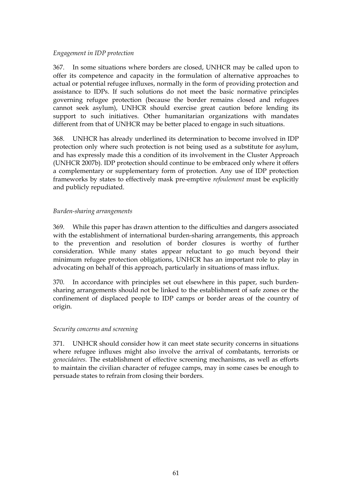### *Engagement in IDP protection*

367. In some situations where borders are closed, UNHCR may be called upon to offer its competence and capacity in the formulation of alternative approaches to actual or potential refugee influxes, normally in the form of providing protection and assistance to IDPs. If such solutions do not meet the basic normative principles governing refugee protection (because the border remains closed and refugees cannot seek asylum), UNHCR should exercise great caution before lending its support to such initiatives. Other humanitarian organizations with mandates different from that of UNHCR may be better placed to engage in such situations.

368. UNHCR has already underlined its determination to become involved in IDP protection only where such protection is not being used as a substitute for asylum, and has expressly made this a condition of its involvement in the Cluster Approach (UNHCR 2007b). IDP protection should continue to be embraced only where it offers a complementary or supplementary form of protection. Any use of IDP protection frameworks by states to effectively mask pre-emptive *refoulement* must be explicitly and publicly repudiated.

#### *Burden-sharing arrangements*

369. While this paper has drawn attention to the difficulties and dangers associated with the establishment of international burden-sharing arrangements, this approach to the prevention and resolution of border closures is worthy of further consideration. While many states appear reluctant to go much beyond their minimum refugee protection obligations, UNHCR has an important role to play in advocating on behalf of this approach, particularly in situations of mass influx.

370. In accordance with principles set out elsewhere in this paper, such burdensharing arrangements should not be linked to the establishment of safe zones or the confinement of displaced people to IDP camps or border areas of the country of origin.

#### *Security concerns and screening*

371. UNHCR should consider how it can meet state security concerns in situations where refugee influxes might also involve the arrival of combatants, terrorists or *genocidaires.* The establishment of effective screening mechanisms, as well as efforts to maintain the civilian character of refugee camps, may in some cases be enough to persuade states to refrain from closing their borders.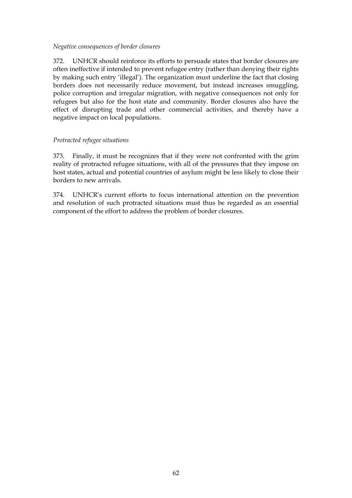#### *Negative consequences of border closures*

372. UNHCR should reinforce its efforts to persuade states that border closures are often ineffective if intended to prevent refugee entry (rather than denying their rights by making such entry "illegal"). The organization must underline the fact that closing borders does not necessarily reduce movement, but instead increases smuggling, police corruption and irregular migration, with negative consequences not only for refugees but also for the host state and community. Border closures also have the effect of disrupting trade and other commercial activities, and thereby have a negative impact on local populations.

#### *Protracted refugee situations*

373. Finally, it must be recognizes that if they were not confronted with the grim reality of protracted refugee situations, with all of the pressures that they impose on host states, actual and potential countries of asylum might be less likely to close their borders to new arrivals.

374. UNHCR"s current efforts to focus international attention on the prevention and resolution of such protracted situations must thus be regarded as an essential component of the effort to address the problem of border closures.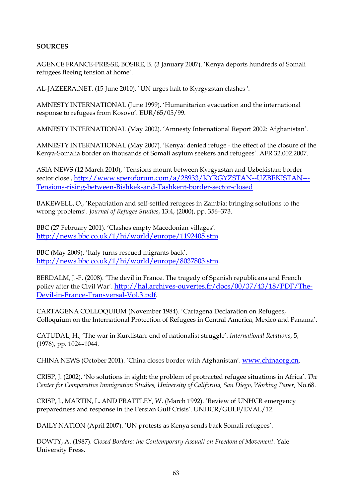## **SOURCES**

AGENCE FRANCE-PRESSE, BOSIRE, B. (3 January 2007). "Kenya deports hundreds of Somali refugees fleeing tension at home".

AL-JAZEERA.NET. (15 June 2010). `UN urges halt to Kyrgyzstan clashes '.

AMNESTY INTERNATIONAL (June 1999). "Humanitarian evacuation and the international response to refugees from Kosovo". EUR/65/05/99.

AMNESTY INTERNATIONAL (May 2002). "Amnesty International Report 2002: Afghanistan".

AMNESTY INTERNATIONAL (May 2007). "Kenya: denied refuge - the effect of the closure of the Kenya-Somalia border on thousands of Somali asylum seekers and refugees". AFR 32.002.2007.

ASIA NEWS (12 March 2010), `Tensions mount between Kyrgyzstan and Uzbekistan: border sector close', [http://www.speroforum.com/a/28933/KYRGYZSTAN--UZBEKISTAN---](http://www.speroforum.com/a/28933/KYRGYZSTAN--UZBEKISTAN---Tensions-rising-between-Bishkek-and-Tashkent-border-sector-closed) [Tensions-rising-between-Bishkek-and-Tashkent-border-sector-closed](http://www.speroforum.com/a/28933/KYRGYZSTAN--UZBEKISTAN---Tensions-rising-between-Bishkek-and-Tashkent-border-sector-closed)

BAKEWELL, O., "Repatriation and self-settled refugees in Zambia: bringing solutions to the wrong problems". *Journal of Refugee Studies*, 13:4, (2000), pp. 356–373.

BBC (27 February 2001). 'Clashes empty Macedonian villages'. <http://news.bbc.co.uk/1/hi/world/europe/1192405.stm>.

BBC (May 2009). 'Italy turns rescued migrants back'. <http://news.bbc.co.uk/1/hi/world/europe/8037803.stm>.

BERDALM, J.-F. (2008). "The devil in France. The tragedy of Spanish republicans and French policy after the Civil War". [http://hal.archives-ouvertes.fr/docs/00/37/43/18/PDF/The-](http://hal.archives-ouvertes.fr/docs/00/37/43/18/PDF/The-Devil-in-France-Transversal-Vol.3.pdf)[Devil-in-France-Transversal-Vol.3.pdf](http://hal.archives-ouvertes.fr/docs/00/37/43/18/PDF/The-Devil-in-France-Transversal-Vol.3.pdf).

CARTAGENA COLLOQUIUM (November 1984). "Cartagena Declaration on Refugees, Colloquium on the International Protection of Refugees in Central America, Mexico and Panama".

CATUDAL, H., "The war in Kurdistan: end of nationalist struggle". *International Relations*, 5, (1976), pp. 1024–1044.

CHINA NEWS (October 2001). "China closes border with Afghanistan". [www.chinaorg.cn](http://www.chinaorg.cn/).

CRISP, J. (2002). "No solutions in sight: the problem of protracted refugee situations in Africa". *The Center for Comparative Immigration Studies, University of California, San Diego, Working Paper*, No.68.

CRISP, J., MARTIN, L. AND PRATTLEY, W. (March 1992). "Review of UNHCR emergency preparedness and response in the Persian Gulf Crisis". UNHCR/GULF/EVAL/12.

DAILY NATION (April 2007). "UN protests as Kenya sends back Somali refugees".

DOWTY, A. (1987). *Closed Borders: the Contemporary Assualt on Freedom of Movement*. Yale University Press.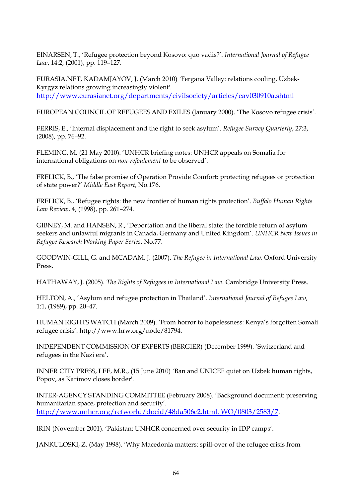EINARSEN, T., "Refugee protection beyond Kosovo: quo vadis?". *International Journal of Refugee Law*, 14:2, (2001), pp. 119–127.

EURASIA.NET, KADAMJAYOV, J. (March 2010) `Fergana Valley: relations cooling, Uzbek-Kyrgyz relations growing increasingly violent'. <http://www.eurasianet.org/departments/civilsociety/articles/eav030910a.shtml>

EUROPEAN COUNCIL OF REFUGEES AND EXILES (January 2000). "The Kosovo refugee crisis".

FERRIS, E., "Internal displacement and the right to seek asylum". *Refugee Survey Quarterly*, 27:3, (2008), pp. 76–92.

FLEMING, M. (21 May 2010). "UNHCR briefing notes: UNHCR appeals on Somalia for international obligations on *non-refoulement* to be observed".

FRELICK, B., "The false promise of Operation Provide Comfort: protecting refugees or protection of state power?" *Middle East Report*, No.176.

FRELICK, B., "Refugee rights: the new frontier of human rights protection". *Buffalo Human Rights Law Review*, 4, (1998), pp. 261–274.

GIBNEY, M. and HANSEN, R., "Deportation and the liberal state: the forcible return of asylum seekers and unlawful migrants in Canada, Germany and United Kingdom". *UNHCR New Issues in Refugee Research Working Paper Series*, No.77.

GOODWIN-GILL, G. and MCADAM, J. (2007). *The Refugee in International Law*. Oxford University Press.

HATHAWAY, J. (2005). *The Rights of Refugees in International Law*. Cambridge University Press.

HELTON, A., "Asylum and refugee protection in Thailand". *International Journal of Refugee Law*, 1:1, (1989), pp. 20–47.

HUMAN RIGHTS WATCH (March 2009). "From horror to hopelessness: Kenya"s forgotten Somali refugee crisis". http://www.hrw.org/node/81794.

INDEPENDENT COMMISSION OF EXPERTS (BERGIER) (December 1999). "Switzerland and refugees in the Nazi era'.

INNER CITY PRESS, LEE, M.R., (15 June 2010) `Ban and UNICEF quiet on Uzbek human rights, Popov, as Karimov closes border'.

INTER-AGENCY STANDING COMMITTEE (February 2008). "Background document: preserving humanitarian space, protection and security'. [http://www.unhcr.org/refworld/docid/48da506c2.html. WO/0803/2583/7](http://www.unhcr.org/refworld/docid/48da506c2.html.%20WO/0803/2583/7).

IRIN (November 2001). "Pakistan: UNHCR concerned over security in IDP camps".

JANKULOSKI, Z. (May 1998). "Why Macedonia matters: spill-over of the refugee crisis from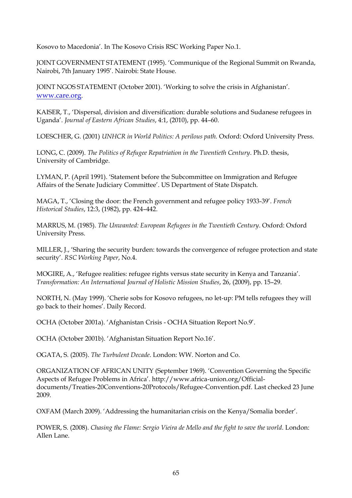Kosovo to Macedonia". In The Kosovo Crisis RSC Working Paper No.1.

JOINT GOVERNMENT STATEMENT (1995). "Communique of the Regional Summit on Rwanda, Nairobi, 7th January 1995'. Nairobi: State House.

JOINT NGOS STATEMENT (October 2001). 'Working to solve the crisis in Afghanistan'. [www.care.org](http://www.care.org/).

KAISER, T., "Dispersal, division and diversification: durable solutions and Sudanese refugees in Uganda". *Journal of Eastern African Studies*, 4:1, (2010), pp. 44–60.

LOESCHER, G. (2001) *UNHCR in World Politics: A perilous path.* Oxford: Oxford University Press.

LONG, C. (2009). *The Politics of Refugee Repatriation in the Twentieth Century*. Ph.D. thesis, University of Cambridge.

LYMAN, P. (April 1991). "Statement before the Subcommittee on Immigration and Refugee Affairs of the Senate Judiciary Committee'. US Department of State Dispatch.

MAGA, T., "Closing the door: the French government and refugee policy 1933-39". *French Historical Studies*, 12:3, (1982), pp. 424–442.

MARRUS, M. (1985). *The Unwanted: European Refugees in the Twentieth Century*. Oxford: Oxford University Press.

MILLER, J., "Sharing the security burden: towards the convergence of refugee protection and state security". *RSC Working Paper*, No.4.

MOGIRE, A., "Refugee realities: refugee rights versus state security in Kenya and Tanzania". *Transformation: An International Journal of Holistic Mission Studies*, 26, (2009), pp. 15–29.

NORTH, N. (May 1999). "Cherie sobs for Kosovo refugees, no let-up: PM tells refugees they will go back to their homes". Daily Record.

OCHA (October 2001a). "Afghanistan Crisis - OCHA Situation Report No.9".

OCHA (October 2001b). "Afghanistan Situation Report No.16".

OGATA, S. (2005). *The Turbulent Decade*. London: WW. Norton and Co.

ORGANIZATION OF AFRICAN UNITY (September 1969). "Convention Governing the Specific Aspects of Refugee Problems in Africa". http://www.africa-union.org/Officialdocuments/Treaties-20Conventions-20Protocols/Refugee-Convention.pdf. Last checked 23 June 2009.

OXFAM (March 2009). "Addressing the humanitarian crisis on the Kenya/Somalia border".

POWER, S. (2008). *Chasing the Flame: Sergio Vieira de Mello and the fight to save the world*. London: Allen Lane.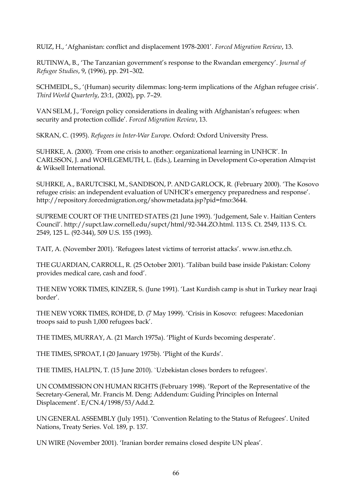RUIZ, H., "Afghanistan: conflict and displacement 1978-2001". *Forced Migration Review*, 13.

RUTINWA, B., "The Tanzanian government"s response to the Rwandan emergency". *Journal of Refugee Studies*, 9, (1996), pp. 291–302.

SCHMEIDL, S., '(Human) security dilemmas: long-term implications of the Afghan refugee crisis'. *Third World Quarterly*, 23:1, (2002), pp. 7–29.

VAN SELM, J., "Foreign policy considerations in dealing with Afghanistan"s refugees: when security and protection collide". *Forced Migration Review*, 13.

SKRAN, C. (1995). *Refugees in Inter-War Europe*. Oxford: Oxford University Press.

SUHRKE, A. (2000). "From one crisis to another: organizational learning in UNHCR". In CARLSSON, J. and WOHLGEMUTH, L. (Eds.), Learning in Development Co-operation Almqvist & Wiksell International.

SUHRKE, A., BARUTCISKI, M., SANDISON, P. AND GARLOCK, R. (February 2000). "The Kosovo refugee crisis: an independent evaluation of UNHCR"s emergency preparedness and response". http://repository.forcedmigration.org/showmetadata.jsp?pid=fmo:3644.

SUPREME COURT OF THE UNITED STATES (21 June 1993). "Judgement, Sale v. Haitian Centers Council". http://supct.law.cornell.edu/supct/html/92-344.ZO.html. 113 S. Ct. 2549, 113 S. Ct. 2549, 125 L. (92-344), 509 U.S. 155 (1993).

TAIT, A. (November 2001). "Refugees latest victims of terrorist attacks". www.isn.ethz.ch.

THE GUARDIAN, CARROLL, R. (25 October 2001). "Taliban build base inside Pakistan: Colony provides medical care, cash and food".

THE NEW YORK TIMES, KINZER, S. (June 1991). "Last Kurdish camp is shut in Turkey near Iraqi border".

THE NEW YORK TIMES, ROHDE, D. (7 May 1999). "Crisis in Kosovo: refugees: Macedonian troops said to push 1,000 refugees back".

THE TIMES, MURRAY, A. (21 March 1975a). "Plight of Kurds becoming desperate".

THE TIMES, SPROAT, I (20 January 1975b). "Plight of the Kurds".

THE TIMES, HALPIN, T. (15 June 2010). `Uzbekistan closes borders to refugees'.

UN COMMISSION ON HUMAN RIGHTS (February 1998). "Report of the Representative of the Secretary-General, Mr. Francis M. Deng: Addendum: Guiding Principles on Internal Displacement". E/CN.4/1998/53/Add.2.

UN GENERAL ASSEMBLY (July 1951). "Convention Relating to the Status of Refugees". United Nations, Treaty Series. Vol. 189, p. 137.

UN WIRE (November 2001). "Iranian border remains closed despite UN pleas".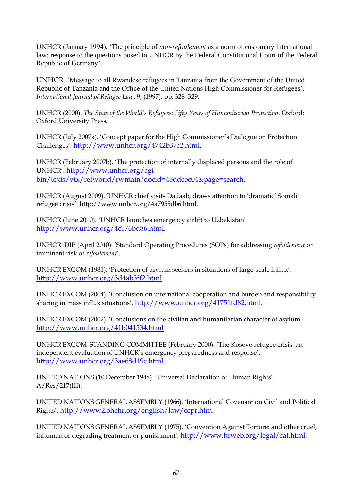UNHCR (January 1994). 'The principle of *non-refoulement* as a norm of customary international law; response to the questions posed to UNHCR by the Federal Constitutional Court of the Federal Republic of Germany'.

UNHCR, 'Message to all Rwandese refugees in Tanzania from the Government of the United Republic of Tanzania and the Office of the United Nations High Commissioner for Refugees'. *International Journal of Refugee Law*, 9, (1997), pp. 328–329.

UNHCR (2000). *The State of the World's Refugees: Fifty Years of Humanitarian Protection*. Oxford: Oxford University Press.

UNHCR (July 2007a). "Concept paper for the High Commissioner"s Dialogue on Protection Challenges". <http://www.unhcr.org/4742b37c2.html>.

UNHCR (February 2007b). "The protection of internally displaced persons and the role of UNHCR". [http://www.unhcr.org/cgi](http://www.unhcr.org/cgi-bin/texis/vtx/refworld/rwmain?docid=45ddc5c04&page=search)[bin/texis/vtx/refworld/rwmain?docid=45ddc5c04&page=search](http://www.unhcr.org/cgi-bin/texis/vtx/refworld/rwmain?docid=45ddc5c04&page=search).

UNHCR (August 2009). "UNHCR chief visits Dadaab, draws attention to "dramatic" Somali refugee crisis". http://www.unhcr.org/4a7955db6.html.

UNHCR (June 2010). `UNHCR launches emergency airlift to Uzbekistan'. <http://www.unhcr.org/4c176bd86.html>.

UNHCR: DIP (April 2010). "Standard Operating Procedures (SOPs) for addressing *refoulement* or imminent risk of *refoulement*".

UNHCR EXCOM (1981). "Protection of asylum seekers in situations of large-scale influx". <http://www.unhcr.org/3d4ab3ff2.html>.

UNHCR EXCOM (2004). "Conclusion on international cooperation and burden and responsibility sharing in mass influx situations". <http://www.unhcr.org/41751fd82.html>.

UNHCR EXCOM (2002). "Conclusions on the civilian and humanitarian character of asylum". <http://www.unhcr.org/41b041534.html>

UNHCR EXCOM STANDING COMMITTEE (February 2000). "The Kosovo refugee crisis: an independent evaluation of UNHCR"s emergency preparedness and response". <http://www.unhcr.org/3ae68d19c.html>.

UNITED NATIONS (10 December 1948). "Universal Declaration of Human Rights". A/Res/217(III).

UNITED NATIONS GENERAL ASSEMBLY (1966). "International Covenant on Civil and Political Rights". <http://www2.ohchr.org/english/law/ccpr.htm>.

UNITED NATIONS GENERAL ASSEMBLY (1975). "Convention Against Torture: and other cruel, inhuman or degrading treatment or punishment'. <http://www.hrweb.org/legal/cat.html>.